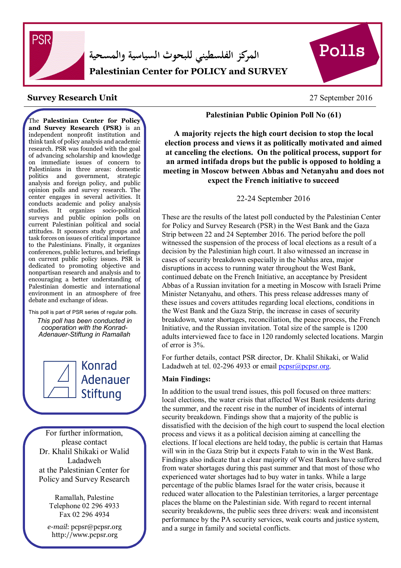

**المركز الفلسطيني للبحوث السياسية والمسحية Palestinian Center for POLICY and SURVEY** 



## 27 September 2016 **Survey Research Unit**

**RESEARCH**

The **Palestinian Center for Policy and Survey Research (PSR)** is an independent nonprofit institution and think tank of policy analysis and academic research. PSR was founded with the goal of advancing scholarship and knowledge on immediate issues of concern to Palestinians in three areas: domestic politics and government, strategic analysis and foreign policy, and public opinion polls and survey research. The center engages in several activities. It conducts academic and policy analysis studies. It organizes socio-political surveys and public opinion polls on current Palestinian political and social attitudes. It sponsors study groups and task forces on issues of critical importance to the Palestinians. Finally, it organizes conferences, public lectures, and briefings on current public policy issues. PSR is dedicated to promoting objective and nonpartisan research and analysis and to encouraging a better understanding of Palestinian domestic and international environment in an atmosphere of free debate and exchange of ideas.

This poll is part of PSR series of regular polls. *This poll has been conducted in cooperation with the Konrad-Adenauer-Stiftung in Ramallah*



I

Konrad Adenauer Stiftung

For further information, please contact Dr. Khalil Shikaki or Walid Ladadweh at the Palestinian Center for Policy and Survey Research

> Ramallah, Palestine Telephone 02 296 4933 Fax 02 296 4934

 *e-mail*: pcpsr@pcpsr.org http://www.pcpsr.org

**Palestinian Public Opinion Poll No (61)** 

 **A majority rejects the high court decision to stop the local election process and views it as politically motivated and aimed at canceling the elections. On the political process, support for an armed intifada drops but the public is opposed to holding a meeting in Moscow between Abbas and Netanyahu and does not expect the French initiative to succeed** 

22-24 September 2016

 These are the results of the latest poll conducted by the Palestinian Center witnessed the suspension of the process of local elections as a result of a  $\overline{a}$  Abbas of a Russian invitation for a meeting in Moscow with Israeli Prime these issues and covers attitudes regarding local elections, conditions in for Policy and Survey Research (PSR) in the West Bank and the Gaza Strip between 22 and 24 September 2016. The period before the poll decision by the Palestinian high court. It also witnessed an increase in cases of security breakdown especially in the Nablus area, major disruptions in access to running water throughout the West Bank, continued debate on the French Initiative, an acceptance by President Minister Netanyahu, and others. This press release addresses many of the West Bank and the Gaza Strip, the increase in cases of security breakdown, water shortages, reconciliation, the peace process, the French Initiative, and the Russian invitation. Total size of the sample is 1200 adults interviewed face to face in 120 randomly selected locations. Margin of error is 3%.

For further details, contact PSR director, Dr. Khalil Shikaki, or Walid Ladadweh at tel. 02-296 4933 or email  $\frac{\text{pops}(\text{a} \text{popsr.org})}{\text{popsr}(\text{a} \text{popsr.org})}$ 

## **Main Findings:**

In addition to the usual trend issues, this poll focused on three matters: local elections, the water crisis that affected West Bank residents during the summer, and the recent rise in the number of incidents of internal security breakdown. Findings show that a majority of the public is dissatisfied with the decision of the high court to suspend the local election process and views it as a political decision aiming at cancelling the elections. If local elections are held today, the public is certain that Hamas will win in the Gaza Strip but it expects Fatah to win in the West Bank. Findings also indicate that a clear majority of West Bankers have suffered from water shortages during this past summer and that most of those who experienced water shortages had to buy water in tanks. While a large percentage of the public blames Israel for the water crisis, because it reduced water allocation to the Palestinian territories, a larger percentage places the blame on the Palestinian side. With regard to recent internal security breakdowns, the public sees three drivers: weak and inconsistent performance by the PA security services, weak courts and justice system, and a surge in family and societal conflicts.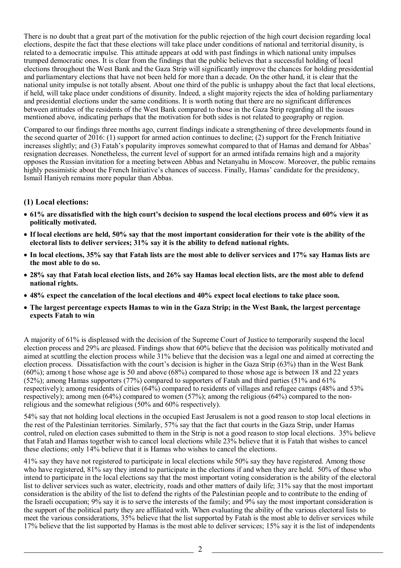There is no doubt that a great part of the motivation for the public rejection of the high court decision regarding local elections, despite the fact that these elections will take place under conditions of national and territorial disunity, is related to a democratic impulse. This attitude appears at odd with past findings in which national unity impulses trumped democratic ones. It is clear from the findings that the public believes that a successful holding of local elections throughout the West Bank and the Gaza Strip will significantly improve the chances for holding presidential and parliamentary elections that have not been held for more than a decade. On the other hand, it is clear that the national unity impulse is not totally absent. About one third of the public is unhappy about the fact that local elections, if held, will take place under conditions of disunity. Indeed, a slight majority rejects the idea of holding parliamentary and presidential elections under the same conditions. It is worth noting that there are no significant differences between attitudes of the residents of the West Bank compared to those in the Gaza Strip regarding all the issues mentioned above, indicating perhaps that the motivation for both sides is not related to geography or region.

Compared to our findings three months ago, current findings indicate a strengthening of three developments found in the second quarter of 2016: (1) support for armed action continues to decline; (2) support for the French Initiative increases slightly; and (3) Fatah's popularity improves somewhat compared to that of Hamas and demand for Abbas' resignation decreases. Nonetheless, the current level of support for an armed intifada remains high and a majority opposes the Russian invitation for a meeting between Abbas and Netanyahu in Moscow. Moreover, the public remains highly pessimistic about the French Initiative's chances of success. Finally, Hamas' candidate for the presidency, Ismail Haniyeh remains more popular than Abbas.

## **(1) Local elections:**

- **61% are dissatisfied with the high court's decision to suspend the local elections process and 60% view it as politically motivated.**
- **If local elections are held, 50% say that the most important consideration for their vote is the ability of the electoral lists to deliver services; 31% say it is the ability to defend national rights.**
- **In local elections, 35% say that Fatah lists are the most able to deliver services and 17% say Hamas lists are the most able to do so.**
- **28% say that Fatah local election lists, and 26% say Hamas local election lists, are the most able to defend national rights.**
- **48% expect the cancelation of the local elections and 40% expect local elections to take place soon.**
- **The largest percentage expects Hamas to win in the Gaza Strip; in the West Bank, the largest percentage expects Fatah to win**

A majority of 61% is displeased with the decision of the Supreme Court of Justice to temporarily suspend the local election process and 29% are pleased. Findings show that 60% believe that the decision was politically motivated and aimed at scuttling the election process while 31% believe that the decision was a legal one and aimed at correcting the election process. Dissatisfaction with the court's decision is higher in the Gaza Strip (63%) than in the West Bank (60%); among t hose whose age is 50 and above (68%) compared to those whose age is between 18 and 22 years (52%); among Hamas supporters (77%) compared to supporters of Fatah and third parties (51% and 61% respectively); among residents of cities (64%) compared to residents of villages and refugee camps (48% and 53% respectively); among men (64%) compared to women (57%); among the religious (64%) compared to the nonreligious and the somewhat religious (50% and 60% respectively).

54% say that not holding local elections in the occupied East Jerusalem is not a good reason to stop local elections in the rest of the Palestinian territories. Similarly, 57% say that the fact that courts in the Gaza Strip, under Hamas control, ruled on election cases submitted to them in the Strip is not a good reason to stop local elections. 35% believe that Fatah and Hamas together wish to cancel local elections while 23% believe that it is Fatah that wishes to cancel these elections; only 14% believe that it is Hamas who wishes to cancel the elections.

41% say they have not registered to participate in local elections while 50% say they have registered. Among those who have registered, 81% say they intend to participate in the elections if and when they are held. 50% of those who intend to participate in the local elections say that the most important voting consideration is the ability of the electoral list to deliver services such as water, electricity, roads and other matters of daily life; 31% say that the most important consideration is the ability of the list to defend the rights of the Palestinian people and to contribute to the ending of the Israeli occupation; 9% say it is to serve the interests of the family; and 9% say the most important consideration is the support of the political party they are affiliated with. When evaluating the ability of the various electoral lists to meet the various considerations, 35% believe that the list supported by Fatah is the most able to deliver services while 17% believe that the list supported by Hamas is the most able to deliver services; 15% say it is the list of independents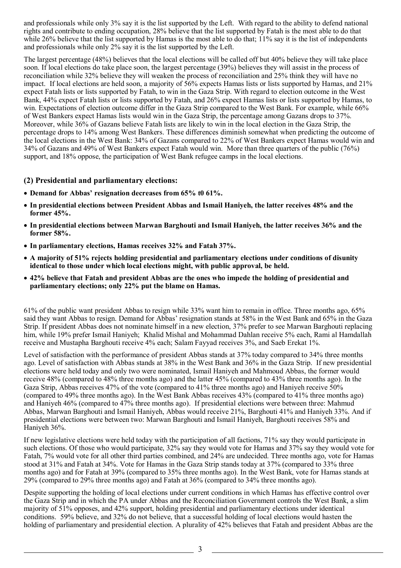and professionals while only 3% say it is the list supported by the Left. With regard to the ability to defend national rights and contribute to ending occupation, 28% believe that the list supported by Fatah is the most able to do that while 26% believe that the list supported by Hamas is the most able to do that; 11% say it is the list of independents and professionals while only 2% say it is the list supported by the Left.

The largest percentage (48%) believes that the local elections will be called off but 40% believe they will take place soon. If local elections do take place soon, the largest percentage (39%) believes they will assist in the process of reconciliation while 32% believe they will weaken the process of reconciliation and 25% think they will have no impact. If local elections are held soon, a majority of 56% expects Hamas lists or lists supported by Hamas, and 21% expect Fatah lists or lists supported by Fatah, to win in the Gaza Strip. With regard to election outcome in the West Bank, 44% expect Fatah lists or lists supported by Fatah, and 26% expect Hamas lists or lists supported by Hamas, to win. Expectations of election outcome differ in the Gaza Strip compared to the West Bank. For example, while 66% of West Bankers expect Hamas lists would win in the Gaza Strip, the percentage among Gazans drops to 37%. Moreover, while 36% of Gazans believe Fatah lists are likely to win in the local election in the Gaza Strip, the percentage drops to 14% among West Bankers. These differences diminish somewhat when predicting the outcome of the local elections in the West Bank: 34% of Gazans compared to 22% of West Bankers expect Hamas would win and 34% of Gazans and 49% of West Bankers expect Fatah would win. More than three quarters of the public (76%) support, and 18% oppose, the participation of West Bank refugee camps in the local elections.

## **(2) Presidential and parliamentary elections:**

- **Demand for Abbas' resignation decreases from 65% t0 61%.**
- **In presidential elections between President Abbas and Ismail Haniyeh, the latter receives 48% and the former 45%.**
- **In presidential elections between Marwan Barghouti and Ismail Haniyeh, the latter receives 36% and the former 58%.**
- **In parliamentary elections, Hamas receives 32% and Fatah 37%.**
- **A majority of 51% rejects holding presidential and parliamentary elections under conditions of disunity identical to those under which local elections might, with public approval, be held.**
- **42% believe that Fatah and president Abbas are the ones who impede the holding of presidential and parliamentary elections; only 22% put the blame on Hamas.**

61% of the public want president Abbas to resign while 33% want him to remain in office. Three months ago, 65% said they want Abbas to resign. Demand for Abbas' resignation stands at 58% in the West Bank and 65% in the Gaza Strip. If president Abbas does not nominate himself in a new election, 37% prefer to see Marwan Barghouti replacing him, while 19% prefer Ismail Haniyeh; Khalid Mishal and Mohammad Dahlan receive 5% each, Rami al Hamdallah receive and Mustapha Barghouti receive 4% each; Salam Fayyad receives 3%, and Saeb Erekat 1%.

Level of satisfaction with the performance of president Abbas stands at 37% today compared to 34% three months ago. Level of satisfaction with Abbas stands at 38% in the West Bank and 36% in the Gaza Strip. If new presidential elections were held today and only two were nominated, Ismail Haniyeh and Mahmoud Abbas, the former would receive 48% (compared to 48% three months ago) and the latter 45% (compared to 43% three months ago). In the Gaza Strip, Abbas receives 47% of the vote (compared to 41% three months ago) and Haniyeh receive 50% (compared to 49% three months ago). In the West Bank Abbas receives 43% (compared to 41% three months ago) and Haniyeh 46% (compared to 47% three months ago). If presidential elections were between three: Mahmud Abbas, Marwan Barghouti and Ismail Haniyeh, Abbas would receive 21%, Barghouti 41% and Haniyeh 33%. And if presidential elections were between two: Marwan Barghouti and Ismail Haniyeh, Barghouti receives 58% and Haniyeh 36%.

If new legislative elections were held today with the participation of all factions, 71% say they would participate in such elections. Of those who would participate, 32% say they would vote for Hamas and 37% say they would vote for Fatah, 7% would vote for all other third parties combined, and 24% are undecided. Three months ago, vote for Hamas stood at 31% and Fatah at 34%. Vote for Hamas in the Gaza Strip stands today at 37% (compared to 33% three months ago) and for Fatah at 39% (compared to 35% three months ago). In the West Bank, vote for Hamas stands at 29% (compared to 29% three months ago) and Fatah at 36% (compared to 34% three months ago).

Despite supporting the holding of local elections under current conditions in which Hamas has effective control over the Gaza Strip and in which the PA under Abbas and the Reconciliation Government controls the West Bank, a slim majority of 51% opposes, and 42% support, holding presidential and parliamentary elections under identical conditions. 59% believe, and 32% do not believe, that a successful holding of local elections would hasten the holding of parliamentary and presidential election. A plurality of 42% believes that Fatah and president Abbas are the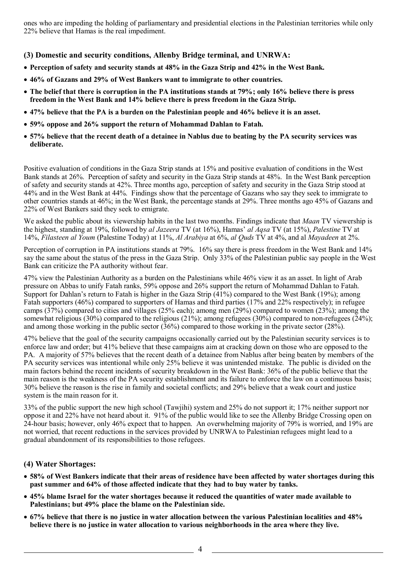ones who are impeding the holding of parliamentary and presidential elections in the Palestinian territories while only 22% believe that Hamas is the real impediment.

**(3) Domestic and security conditions, Allenby Bridge terminal, and UNRWA:** 

- **Perception of safety and security stands at 48% in the Gaza Strip and 42% in the West Bank.**
- **46% of Gazans and 29% of West Bankers want to immigrate to other countries.**
- **The belief that there is corruption in the PA institutions stands at 79%; only 16% believe there is press freedom in the West Bank and 14% believe there is press freedom in the Gaza Strip.**
- **47% believe that the PA is a burden on the Palestinian people and 46% believe it is an asset.**
- **59% oppose and 26% support the return of Mohammad Dahlan to Fatah.**
- **57% believe that the recent death of a detainee in Nablus due to beating by the PA security services was deliberate.**

Positive evaluation of conditions in the Gaza Strip stands at 15% and positive evaluation of conditions in the West Bank stands at 26%. Perception of safety and security in the Gaza Strip stands at 48%. In the West Bank perception of safety and security stands at 42%. Three months ago, perception of safety and security in the Gaza Strip stood at 44% and in the West Bank at 44%. Findings show that the percentage of Gazans who say they seek to immigrate to other countries stands at 46%; in the West Bank, the percentage stands at 29%. Three months ago 45% of Gazans and 22% of West Bankers said they seek to emigrate.

We asked the public about its viewership habits in the last two months. Findings indicate that *Maan* TV viewership is the highest, standing at 19%, followed by *al Jazeera* TV (at 16%), Hamas' *al Aqsa* TV (at 15%), *Palestine* TV at 14%, *Filasteen al Youm* (Palestine Today) at 11%, *Al Arabiya* at 6%, *al Quds* TV at 4%, and al *Mayadeen* at 2%.

Perception of corruption in PA institutions stands at 79%. 16% say there is press freedom in the West Bank and 14% say the same about the status of the press in the Gaza Strip. Only 33% of the Palestinian public say people in the West Bank can criticize the PA authority without fear.

47% view the Palestinian Authority as a burden on the Palestinians while 46% view it as an asset. In light of Arab pressure on Abbas to unify Fatah ranks, 59% oppose and 26% support the return of Mohammad Dahlan to Fatah. Support for Dahlan's return to Fatah is higher in the Gaza Strip  $(41%)$  compared to the West Bank (19%); among Fatah supporters (46%) compared to supporters of Hamas and third parties (17% and 22% respectively); in refugee camps (37%) compared to cities and villages (25% each); among men (29%) compared to women (23%); among the somewhat religious (30%) compared to the religious (21%); among refugees (30%) compared to non-refugees (24%); and among those working in the public sector (36%) compared to those working in the private sector (28%).

47% believe that the goal of the security campaigns occasionally carried out by the Palestinian security services is to enforce law and order; but 41% believe that these campaigns aim at cracking down on those who are opposed to the PA. A majority of 57% believes that the recent death of a detainee from Nablus after being beaten by members of the PA security services was intentional while only 25% believe it was unintended mistake. The public is divided on the main factors behind the recent incidents of security breakdown in the West Bank: 36% of the public believe that the main reason is the weakness of the PA security establishment and its failure to enforce the law on a continuous basis; 30% believe the reason is the rise in family and societal conflicts; and 29% believe that a weak court and justice system is the main reason for it.

33% of the public support the new high school (Tawjihi) system and 25% do not support it; 17% neither support nor oppose it and 22% have not heard about it. 91% of the public would like to see the Allenby Bridge Crossing open on 24-hour basis; however, only 46% expect that to happen. An overwhelming majority of 79% is worried, and 19% are not worried, that recent reductions in the services provided by UNRWA to Palestinian refugees might lead to a gradual abandonment of its responsibilities to those refugees.

## **(4) Water Shortages:**

- **58% of West Bankers indicate that their areas of residence have been affected by water shortages during this past summer and 64% of those affected indicate that they had to buy water by tanks.**
- **45% blame Israel for the water shortages because it reduced the quantities of water made available to Palestinians; but 49% place the blame on the Palestinian side.**
- **67% believe that there is no justice in water allocation between the various Palestinian localities and 48% believe there is no justice in water allocation to various neighborhoods in the area where they live.**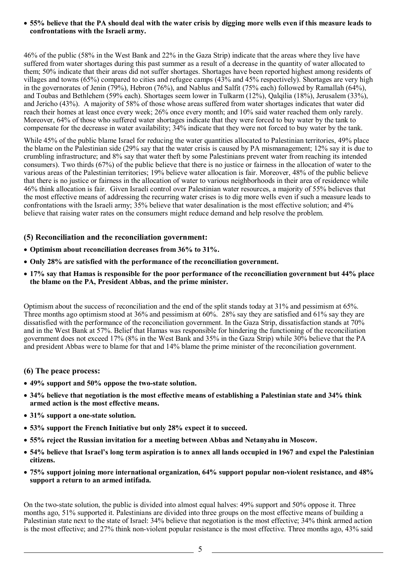### • **55% believe that the PA should deal with the water crisis by digging more wells even if this measure leads to confrontations with the Israeli army.**

46% of the public (58% in the West Bank and 22% in the Gaza Strip) indicate that the areas where they live have suffered from water shortages during this past summer as a result of a decrease in the quantity of water allocated to them; 50% indicate that their areas did not suffer shortages. Shortages have been reported highest among residents of villages and towns (65%) compared to cities and refugee camps (43% and 45% respectively). Shortages are very high in the governorates of Jenin (79%), Hebron (76%), and Nablus and Salfit (75% each) followed by Ramallah (64%), and Toubas and Bethlehem (59% each). Shortages seem lower in Tulkarm (12%), Qalqilia (18%), Jerusalem (33%), and Jericho (43%). A majority of 58% of those whose areas suffered from water shortages indicates that water did reach their homes at least once every week; 26% once every month; and 10% said water reached them only rarely. Moreover, 64% of those who suffered water shortages indicate that they were forced to buy water by the tank to compensate for the decrease in water availability; 34% indicate that they were not forced to buy water by the tank.

While 45% of the public blame Israel for reducing the water quantities allocated to Palestinian territories, 49% place the blame on the Palestinian side (29% say that the water crisis is caused by PA mismanagement; 12% say it is due to crumbling infrastructure; and 8% say that water theft by some Palestinians prevent water from reaching its intended consumers). Two thirds (67%) of the public believe that there is no justice or fairness in the allocation of water to the various areas of the Palestinian territories; 19% believe water allocation is fair. Moreover, 48% of the public believe that there is no justice or fairness in the allocation of water to various neighborhoods in their area of residence while 46% think allocation is fair. Given Israeli control over Palestinian water resources, a majority of 55% believes that the most effective means of addressing the recurring water crises is to dig more wells even if such a measure leads to confrontations with the Israeli army; 35% believe that water desalination is the most effective solution; and 4% believe that raising water rates on the consumers might reduce demand and help resolve the problem.

## **(5) Reconciliation and the reconciliation government:**

- **Optimism about reconciliation decreases from 36% to 31%.**
- **Only 28% are satisfied with the performance of the reconciliation government.**
- **17% say that Hamas is responsible for the poor performance of the reconciliation government but 44% place the blame on the PA, President Abbas, and the prime minister.**

Optimism about the success of reconciliation and the end of the split stands today at 31% and pessimism at 65%. Three months ago optimism stood at 36% and pessimism at 60%. 28% say they are satisfied and 61% say they are dissatisfied with the performance of the reconciliation government. In the Gaza Strip, dissatisfaction stands at 70% and in the West Bank at 57%. Belief that Hamas was responsible for hindering the functioning of the reconciliation government does not exceed 17% (8% in the West Bank and 35% in the Gaza Strip) while 30% believe that the PA and president Abbas were to blame for that and 14% blame the prime minister of the reconciliation government.

## **(6) The peace process:**

- **49% support and 50% oppose the two-state solution.**
- **34% believe that negotiation is the most effective means of establishing a Palestinian state and 34% think armed action is the most effective means.**
- **31% support a one-state solution.**
- **53% support the French Initiative but only 28% expect it to succeed.**
- **55% reject the Russian invitation for a meeting between Abbas and Netanyahu in Moscow.**
- **54% believe that Israel's long term aspiration is to annex all lands occupied in 1967 and expel the Palestinian citizens.**
- **75% support joining more international organization, 64% support popular non-violent resistance, and 48% support a return to an armed intifada.**

On the two-state solution, the public is divided into almost equal halves: 49% support and 50% oppose it. Three months ago, 51% supported it. Palestinians are divided into three groups on the most effective means of building a Palestinian state next to the state of Israel: 34% believe that negotiation is the most effective; 34% think armed action is the most effective; and 27% think non-violent popular resistance is the most effective. Three months ago, 43% said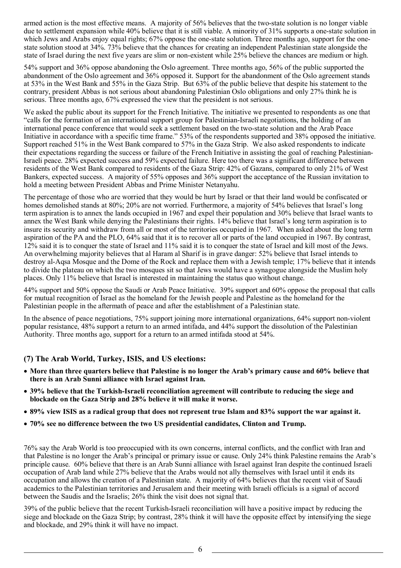armed action is the most effective means. A majority of 56% believes that the two-state solution is no longer viable due to settlement expansion while 40% believe that it is still viable. A minority of 31% supports a one-state solution in which Jews and Arabs enjoy equal rights; 67% oppose the one-state solution. Three months ago, support for the onestate solution stood at 34%. 73% believe that the chances for creating an independent Palestinian state alongside the state of Israel during the next five years are slim or non-existent while 25% believe the chances are medium or high.

54% support and 36% oppose abandoning the Oslo agreement. Three months ago, 56% of the public supported the abandonment of the Oslo agreement and 36% opposed it. Support for the abandonment of the Oslo agreement stands at 53% in the West Bank and 55% in the Gaza Strip. But 63% of the public believe that despite his statement to the contrary, president Abbas is not serious about abandoning Palestinian Oslo obligations and only 27% think he is serious. Three months ago, 67% expressed the view that the president is not serious.

We asked the public about its support for the French Initiative. The initiative we presented to respondents as one that "calls for the formation of an international support group for Palestinian-Israeli negotiations, the holding of an international peace conference that would seek a settlement based on the two-state solution and the Arab Peace Initiative in accordance with a specific time frame." 53% of the respondents supported and 38% opposed the initiative. Support reached 51% in the West Bank compared to 57% in the Gaza Strip. We also asked respondents to indicate their expectations regarding the success or failure of the French Initiative in assisting the goal of reaching Palestinian-Israeli peace. 28% expected success and 59% expected failure. Here too there was a significant difference between residents of the West Bank compared to residents of the Gaza Strip: 42% of Gazans, compared to only 21% of West Bankers, expected success. A majority of 55% opposes and 36% support the acceptance of the Russian invitation to hold a meeting between President Abbas and Prime Minister Netanyahu.

The percentage of those who are worried that they would be hurt by Israel or that their land would be confiscated or homes demolished stands at 80%; 20% are not worried. Furthermore, a majority of 54% believes that Israel's long term aspiration is to annex the lands occupied in 1967 and expel their population and 30% believe that Israel wants to annex the West Bank while denying the Palestinians their rights. 14% believe that Israel's long term aspiration is to insure its security and withdraw from all or most of the territories occupied in 1967. When asked about the long term aspiration of the PA and the PLO, 64% said that it is to recover all or parts of the land occupied in 1967. By contrast, 12% said it is to conquer the state of Israel and 11% said it is to conquer the state of Israel and kill most of the Jews. An overwhelming majority believes that al Haram al Sharif is in grave danger: 52% believe that Israel intends to destroy al-Aqsa Mosque and the Dome of the Rock and replace them with a Jewish temple; 17% believe that it intends to divide the plateau on which the two mosques sit so that Jews would have a synagogue alongside the Muslim holy places. Only 11% believe that Israel is interested in maintaining the status quo without change.

44% support and 50% oppose the Saudi or Arab Peace Initiative. 39% support and 60% oppose the proposal that calls for mutual recognition of Israel as the homeland for the Jewish people and Palestine as the homeland for the Palestinian people in the aftermath of peace and after the establishment of a Palestinian state.

In the absence of peace negotiations, 75% support joining more international organizations, 64% support non-violent popular resistance, 48% support a return to an armed intifada, and 44% support the dissolution of the Palestinian Authority. Three months ago, support for a return to an armed intifada stood at 54%.

## **(7) The Arab World, Turkey, ISIS, and US elections:**

- **More than three quarters believe that Palestine is no longer the Arab's primary cause and 60% believe that there is an Arab Sunni alliance with Israel against Iran.**
- **39% believe that the Turkish-Israeli reconciliation agreement will contribute to reducing the siege and blockade on the Gaza Strip and 28% believe it will make it worse.**
- **89% view ISIS as a radical group that does not represent true Islam and 83% support the war against it.**
- **70% see no difference between the two US presidential candidates, Clinton and Trump.**

76% say the Arab World is too preoccupied with its own concerns, internal conflicts, and the conflict with Iran and that Palestine is no longer the Arab's principal or primary issue or cause. Only 24% think Palestine remains the Arab's principle cause. 60% believe that there is an Arab Sunni alliance with Israel against Iran despite the continued Israeli occupation of Arab land while 27% believe that the Arabs would not ally themselves with Israel until it ends its occupation and allows the creation of a Palestinian state. A majority of 64% believes that the recent visit of Saudi academics to the Palestinian territories and Jerusalem and their meeting with Israeli officials is a signal of accord between the Saudis and the Israelis; 26% think the visit does not signal that.

39% of the public believe that the recent Turkish-Israeli reconciliation will have a positive impact by reducing the siege and blockade on the Gaza Strip; by contrast, 28% think it will have the opposite effect by intensifying the siege and blockade, and 29% think it will have no impact.

6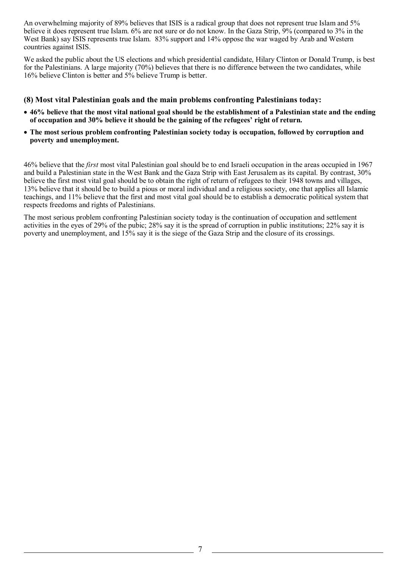An overwhelming majority of 89% believes that ISIS is a radical group that does not represent true Islam and 5% believe it does represent true Islam. 6% are not sure or do not know. In the Gaza Strip, 9% (compared to 3% in the West Bank) say ISIS represents true Islam. 83% support and 14% oppose the war waged by Arab and Western countries against ISIS.

We asked the public about the US elections and which presidential candidate, Hilary Clinton or Donald Trump, is best for the Palestinians. A large majority (70%) believes that there is no difference between the two candidates, while 16% believe Clinton is better and 5% believe Trump is better.

## **(8) Most vital Palestinian goals and the main problems confronting Palestinians today:**

- **46% believe that the most vital national goal should be the establishment of a Palestinian state and the ending of occupation and 30% believe it should be the gaining of the refugees' right of return.**
- **The most serious problem confronting Palestinian society today is occupation, followed by corruption and poverty and unemployment.**

46% believe that the *first* most vital Palestinian goal should be to end Israeli occupation in the areas occupied in 1967 and build a Palestinian state in the West Bank and the Gaza Strip with East Jerusalem as its capital. By contrast, 30% believe the first most vital goal should be to obtain the right of return of refugees to their 1948 towns and villages, 13% believe that it should be to build a pious or moral individual and a religious society, one that applies all Islamic teachings, and 11% believe that the first and most vital goal should be to establish a democratic political system that respects freedoms and rights of Palestinians.

The most serious problem confronting Palestinian society today is the continuation of occupation and settlement activities in the eyes of 29% of the pubic; 28% say it is the spread of corruption in public institutions; 22% say it is poverty and unemployment, and 15% say it is the siege of the Gaza Strip and the closure of its crossings.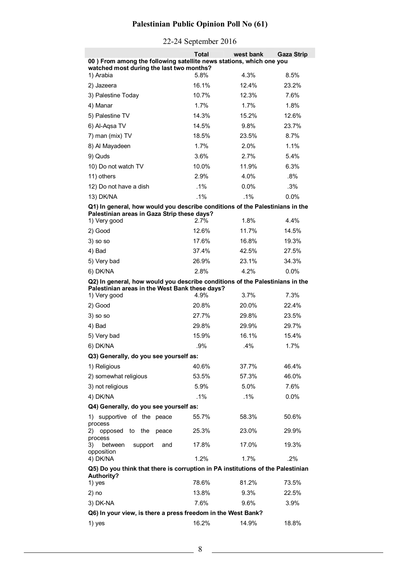# **Palestinian Public Opinion Poll No (61)**

|                                                                                 | Total   | west bank | <b>Gaza Strip</b> |
|---------------------------------------------------------------------------------|---------|-----------|-------------------|
| 00) From among the following satellite news stations, which one you             |         |           |                   |
| watched most during the last two months?<br>1) Arabia                           | 5.8%    | 4.3%      | 8.5%              |
| 2) Jazeera                                                                      | 16.1%   | 12.4%     | 23.2%             |
| 3) Palestine Today                                                              | 10.7%   | 12.3%     | 7.6%              |
| 4) Manar                                                                        | 1.7%    | 1.7%      | 1.8%              |
| 5) Palestine TV                                                                 | 14.3%   | 15.2%     | 12.6%             |
| 6) Al-Aqsa TV                                                                   | 14.5%   | 9.8%      | 23.7%             |
| 7) man (mix) TV                                                                 | 18.5%   | 23.5%     | 8.7%              |
| 8) Al Mayadeen                                                                  | 1.7%    | 2.0%      | 1.1%              |
| 9) Quds                                                                         | 3.6%    | 2.7%      | 5.4%              |
| 10) Do not watch TV                                                             | 10.0%   | 11.9%     | 6.3%              |
| 11) others                                                                      | 2.9%    | 4.0%      | $.8\%$            |
| 12) Do not have a dish                                                          | $.1\%$  | 0.0%      | .3%               |
| 13) DK/NA                                                                       | $.1\%$  | $.1\%$    | 0.0%              |
| Q1) In general, how would you describe conditions of the Palestinians in the    |         |           |                   |
| Palestinian areas in Gaza Strip these days?<br>1) Very good                     | $2.7\%$ | 1.8%      | 4.4%              |
| 2) Good                                                                         | 12.6%   | 11.7%     | 14.5%             |
| $3)$ so so                                                                      | 17.6%   | 16.8%     | 19.3%             |
| 4) Bad                                                                          | 37.4%   | 42.5%     | 27.5%             |
| 5) Very bad                                                                     | 26.9%   | 23.1%     | 34.3%             |
| 6) DK/NA                                                                        | 2.8%    | 4.2%      | 0.0%              |
| Q2) In general, how would you describe conditions of the Palestinians in the    |         |           |                   |
| Palestinian areas in the West Bank these days?                                  |         |           |                   |
| 1) Very good                                                                    | 4.9%    | 3.7%      | 7.3%              |
| 2) Good                                                                         | 20.8%   | 20.0%     | 22.4%             |
| $3)$ so so                                                                      | 27.7%   | 29.8%     | 23.5%             |
| 4) Bad                                                                          | 29.8%   | 29.9%     | 29.7%             |
| 5) Very bad                                                                     | 15.9%   | 16.1%     | 15.4%             |
| 6) DK/NA                                                                        | .9%     | .4%       | 1.7%              |
| Q3) Generally, do you see yourself as:                                          |         |           |                   |
| 1) Religious                                                                    | 40.6%   | 37.7%     | 46.4%             |
| 2) somewhat religious                                                           | 53.5%   | 57.3%     | 46.0%             |
| 3) not religious                                                                | 5.9%    | 5.0%      | 7.6%              |
| 4) DK/NA                                                                        | $.1\%$  | $.1\%$    | 0.0%              |
| Q4) Generally, do you see yourself as:                                          |         |           |                   |
| 1)<br>supportive of the peace<br>process                                        | 55.7%   | 58.3%     | 50.6%             |
| opposed to the<br>2)<br>peace<br>process                                        | 25.3%   | 23.0%     | 29.9%             |
| support<br>3)<br>between<br>and<br>opposition                                   | 17.8%   | 17.0%     | 19.3%             |
| 4) DK/NA                                                                        | 1.2%    | 1.7%      | .2%               |
| Q5) Do you think that there is corruption in PA institutions of the Palestinian |         |           |                   |
| <b>Authority?</b><br>1) yes                                                     | 78.6%   | 81.2%     | 73.5%             |
| $2)$ no                                                                         | 13.8%   | 9.3%      | 22.5%             |
| 3) DK-NA                                                                        | 7.6%    | 9.6%      | 3.9%              |
| Q6) In your view, is there a press freedom in the West Bank?                    |         |           |                   |
| 1) yes                                                                          | 16.2%   | 14.9%     | 18.8%             |

## 22-24 September 2016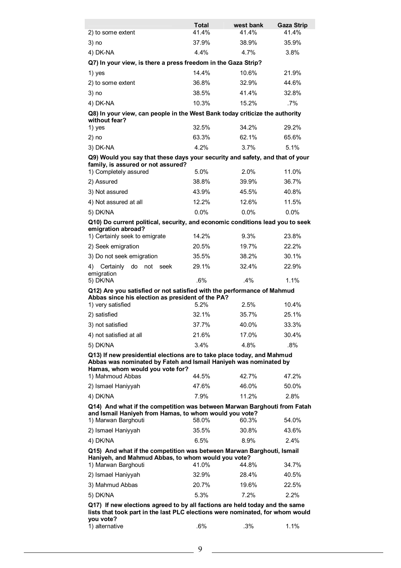|                                                                                                                                                           | Total                                                                                                                                                        | west bank | <b>Gaza Strip</b> |  |
|-----------------------------------------------------------------------------------------------------------------------------------------------------------|--------------------------------------------------------------------------------------------------------------------------------------------------------------|-----------|-------------------|--|
| 2) to some extent                                                                                                                                         | 41.4%                                                                                                                                                        | 41.4%     | 41.4%             |  |
| 3) no                                                                                                                                                     | 37.9%                                                                                                                                                        | 38.9%     | 35.9%             |  |
| 4) DK-NA                                                                                                                                                  | 4.4%                                                                                                                                                         | 4.7%      | 3.8%              |  |
| Q7) In your view, is there a press freedom in the Gaza Strip?                                                                                             |                                                                                                                                                              |           |                   |  |
| 1) yes                                                                                                                                                    | 14.4%                                                                                                                                                        | 10.6%     | 21.9%             |  |
| 2) to some extent                                                                                                                                         | 36.8%                                                                                                                                                        | 32.9%     | 44.6%             |  |
| $3)$ no                                                                                                                                                   | 38.5%                                                                                                                                                        | 41.4%     | 32.8%             |  |
| 4) DK-NA                                                                                                                                                  | 10.3%                                                                                                                                                        | 15.2%     | $.7\%$            |  |
| Q8) In your view, can people in the West Bank today criticize the authority<br>without fear?                                                              |                                                                                                                                                              |           |                   |  |
| 1) yes                                                                                                                                                    | 32.5%                                                                                                                                                        | 34.2%     | 29.2%             |  |
| $2)$ no                                                                                                                                                   | 63.3%                                                                                                                                                        | 62.1%     | 65.6%             |  |
| 3) DK-NA                                                                                                                                                  | 4.2%                                                                                                                                                         | 3.7%      | 5.1%              |  |
| Q9) Would you say that these days your security and safety, and that of your<br>family, is assured or not assured?                                        |                                                                                                                                                              |           |                   |  |
| 1) Completely assured                                                                                                                                     | 5.0%                                                                                                                                                         | 2.0%      | 11.0%             |  |
| 2) Assured                                                                                                                                                | 38.8%                                                                                                                                                        | 39.9%     | 36.7%             |  |
| 3) Not assured                                                                                                                                            | 43.9%                                                                                                                                                        | 45.5%     | 40.8%             |  |
| 4) Not assured at all                                                                                                                                     | 12.2%                                                                                                                                                        | 12.6%     | 11.5%             |  |
| 5) DK/NA                                                                                                                                                  | 0.0%                                                                                                                                                         | 0.0%      | 0.0%              |  |
| Q10) Do current political, security, and economic conditions lead you to seek                                                                             |                                                                                                                                                              |           |                   |  |
| emigration abroad?<br>1) Certainly seek to emigrate                                                                                                       | 14.2%                                                                                                                                                        | 9.3%      | 23.8%             |  |
| 2) Seek emigration                                                                                                                                        | 20.5%                                                                                                                                                        | 19.7%     | 22.2%             |  |
| 3) Do not seek emigration                                                                                                                                 | 35.5%                                                                                                                                                        | 38.2%     | 30.1%             |  |
| 4) Certainly<br>do not seek                                                                                                                               | 29.1%                                                                                                                                                        | 32.4%     | 22.9%             |  |
| emigration<br>5) DK/NA                                                                                                                                    | .6%                                                                                                                                                          | .4%       | 1.1%              |  |
| Q12) Are you satisfied or not satisfied with the performance of Mahmud                                                                                    |                                                                                                                                                              |           |                   |  |
| Abbas since his election as president of the PA?<br>1) very satisfied                                                                                     | 5.2%                                                                                                                                                         | 2.5%      | 10.4%             |  |
| 2) satisfied                                                                                                                                              | 32.1%                                                                                                                                                        | 35.7%     | 25.1%             |  |
| 3) not satisfied                                                                                                                                          | 37.7%                                                                                                                                                        | 40.0%     | 33.3%             |  |
| 4) not satisfied at all                                                                                                                                   | 21.6%                                                                                                                                                        | 17.0%     | 30.4%             |  |
| 5) DK/NA                                                                                                                                                  | 3.4%                                                                                                                                                         | 4.8%      | .8%               |  |
| Q13) If new presidential elections are to take place today, and Mahmud                                                                                    |                                                                                                                                                              |           |                   |  |
| Abbas was nominated by Fateh and Ismail Haniyeh was nominated by                                                                                          |                                                                                                                                                              |           |                   |  |
| Hamas, whom would you vote for?                                                                                                                           |                                                                                                                                                              |           |                   |  |
| 1) Mahmoud Abbas                                                                                                                                          | 44.5%                                                                                                                                                        | 42.7%     | 47.2%             |  |
| 2) Ismael Haniyyah                                                                                                                                        | 47.6%                                                                                                                                                        | 46.0%     | 50.0%             |  |
| 4) DK/NA                                                                                                                                                  | 7.9%                                                                                                                                                         | 11.2%     | 2.8%              |  |
| Q14) And what if the competition was between Marwan Barghouti from Fatah<br>and Ismail Haniyeh from Hamas, to whom would you vote?<br>1) Marwan Barghouti | 58.0%                                                                                                                                                        | 60.3%     | 54.0%             |  |
| 2) Ismael Haniyyah                                                                                                                                        | 35.5%                                                                                                                                                        | 30.8%     | 43.6%             |  |
| 4) DK/NA                                                                                                                                                  | 6.5%                                                                                                                                                         | 8.9%      | 2.4%              |  |
| Q15) And what if the competition was between Marwan Barghouti, Ismail                                                                                     |                                                                                                                                                              |           |                   |  |
| Haniyeh, and Mahmud Abbas, to whom would you vote?                                                                                                        |                                                                                                                                                              |           |                   |  |
| 1) Marwan Barghouti                                                                                                                                       | 41.0%                                                                                                                                                        | 44.8%     | 34.7%             |  |
| 2) Ismael Haniyyah                                                                                                                                        | 32.9%                                                                                                                                                        | 28.4%     | 40.5%             |  |
| 3) Mahmud Abbas                                                                                                                                           | 20.7%                                                                                                                                                        | 19.6%     | 22.5%             |  |
| 5) DK/NA                                                                                                                                                  | 5.3%                                                                                                                                                         | 7.2%      | $2.2\%$           |  |
| you vote?                                                                                                                                                 | Q17) If new elections agreed to by all factions are held today and the same<br>lists that took part in the last PLC elections were nominated, for whom would |           |                   |  |

| 1) alternative | 6% | .3% | 1% |
|----------------|----|-----|----|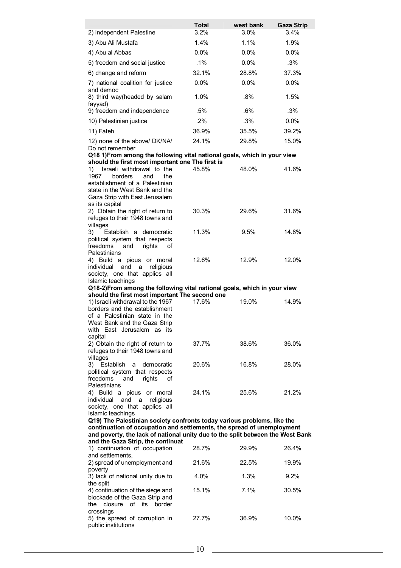|                                                                                              | <b>Total</b> | west bank | <b>Gaza Strip</b> |
|----------------------------------------------------------------------------------------------|--------------|-----------|-------------------|
| 2) independent Palestine                                                                     | 3.2%         | 3.0%      | 3.4%              |
| 3) Abu Ali Mustafa                                                                           | 1.4%         | 1.1%      | 1.9%              |
| 4) Abu al Abbas                                                                              | 0.0%         | 0.0%      | 0.0%              |
| 5) freedom and social justice                                                                | .1%          | 0.0%      | .3%               |
| 6) change and reform                                                                         | 32.1%        | 28.8%     | 37.3%             |
| 7) national coalition for justice<br>and democ                                               | 0.0%         | 0.0%      | 0.0%              |
| 8) third way(headed by salam<br>fayyad)                                                      | 1.0%         | $.8\%$    | 1.5%              |
| 9) freedom and independence                                                                  | .5%          | .6%       | .3%               |
| 10) Palestinian justice                                                                      | .2%          | .3%       | 0.0%              |
| 11) Fateh                                                                                    | 36.9%        | 35.5%     | 39.2%             |
| 12) none of the above/ DK/NA/                                                                | 24.1%        | 29.8%     | 15.0%             |
| Do not remember<br>Q18 1) From among the following vital national goals, which in your view  |              |           |                   |
| should the first most important one The first is                                             |              |           |                   |
| Israeli withdrawal to the<br>1)<br>1967                                                      | 45.8%        | 48.0%     | 41.6%             |
| borders<br>and<br>the<br>establishment of a Palestinian                                      |              |           |                   |
| state in the West Bank and the                                                               |              |           |                   |
| Gaza Strip with East Jerusalem                                                               |              |           |                   |
| as its capital<br>2) Obtain the right of return to                                           | 30.3%        | 29.6%     | 31.6%             |
| refuges to their 1948 towns and                                                              |              |           |                   |
| villages<br>3)<br>Establish a democratic                                                     | 11.3%        | 9.5%      | 14.8%             |
| political system that respects                                                               |              |           |                   |
| freedoms<br>rights<br>and<br>οf                                                              |              |           |                   |
| Palestinians<br>4) Build a pious or moral                                                    | 12.6%        | 12.9%     | 12.0%             |
| individual<br>and<br>religious<br>a a                                                        |              |           |                   |
| society, one that applies all                                                                |              |           |                   |
| Islamic teachings<br>Q18-2)From among the following vital national goals, which in your view |              |           |                   |
| should the first most important The second one                                               |              |           |                   |
| 1) Israeli withdrawal to the 1967                                                            | 17.6%        | 19.0%     | 14.9%             |
| borders and the establishment<br>of a Palestinian state in the                               |              |           |                   |
| West Bank and the Gaza Strip                                                                 |              |           |                   |
| with East Jerusalem as its                                                                   |              |           |                   |
| capital<br>2) Obtain the right of return to                                                  | 37.7%        | 38.6%     | 36.0%             |
| refuges to their 1948 towns and                                                              |              |           |                   |
| villages                                                                                     | 20.6%        | 16.8%     |                   |
| 3) Establish<br>a<br>democratic<br>political system that respects                            |              |           | 28.0%             |
| freedoms<br>rights<br>and<br>οf                                                              |              |           |                   |
| Palestinians                                                                                 | 24.1%        | 25.6%     | 21.2%             |
| 4) Build a pious or moral<br>individual<br>and<br>religious<br>a                             |              |           |                   |
| society, one that applies all                                                                |              |           |                   |
| Islamic teachings<br>Q19) The Palestinian society confronts today various problems, like the |              |           |                   |
| continuation of occupation and settlements, the spread of unemployment                       |              |           |                   |
| and poverty, the lack of national unity due to the split between the West Bank               |              |           |                   |
| and the Gaza Strip, the continuat<br>1) continuation of occupation                           | 28.7%        | 29.9%     | 26.4%             |
| and settlements,                                                                             |              |           |                   |
| 2) spread of unemployment and                                                                | 21.6%        | 22.5%     | 19.9%             |
| poverty<br>3) lack of national unity due to                                                  | 4.0%         | 1.3%      | 9.2%              |
| the split                                                                                    |              |           |                   |
| 4) continuation of the siege and                                                             | 15.1%        | 7.1%      | 30.5%             |
| blockade of the Gaza Strip and<br>closure<br>of its<br>border<br>the                         |              |           |                   |
| crossings                                                                                    |              |           |                   |
| 5) the spread of corruption in                                                               | 27.7%        | 36.9%     | 10.0%             |
| public institutions                                                                          |              |           |                   |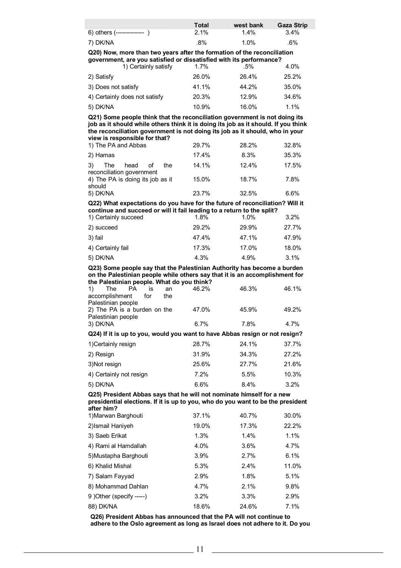|                              | Total | west bank | Gaza Strip |
|------------------------------|-------|-----------|------------|
| 6) others (--------------- ) | 2.1%  | $1.4\%$   | $3.4\%$    |
| 7) DK/NA                     | .8%   | 1.0%      | .6%        |

**Q20) Now, more than two years after the formation of the reconciliation government, are you satisfied or dissatisfied with its performance?** 

|                     | 1) Certainly satisfy          | 1.7%  | .5%   | 4.0%  |
|---------------------|-------------------------------|-------|-------|-------|
| 2) Satisfy          |                               | 26.0% | 26.4% | 25.2% |
| 3) Does not satisfy |                               | 41.1% | 44.2% | 35.0% |
|                     | 4) Certainly does not satisfy | 20.3% | 12.9% | 34.6% |
| 5) DK/NA            |                               | 10.9% | 16.0% | 1.1%  |

**Q21) Some people think that the reconciliation government is not doing its job as it should while others think it is doing its job as it should. If you think the reconciliation government is not doing its job as it should, who in your view is responsible for that?** 

| 1) The PA and Abbas                                      | 29.7% | 28.2% | 32.8% |
|----------------------------------------------------------|-------|-------|-------|
| 2) Hamas                                                 | 17.4% | 8.3%  | 35.3% |
| head of<br>3)<br>The<br>the<br>reconciliation government | 14.1% | 12.4% | 17.5% |
| 4) The PA is doing its job as it<br>should               | 15.0% | 18.7% | 7.8%  |
| 5) DK/NA                                                 | 23.7% | 32.5% | 6.6%  |

### **Q22) What expectations do you have for the future of reconciliation? Will it continue and succeed or will it fail leading to a return to the split?**

| 1) Certainly succeed | 1.8%  | 1.0%  | 3.2%  |
|----------------------|-------|-------|-------|
| 2) succeed           | 29.2% | 29.9% | 27.7% |
| 3) fail              | 47.4% | 47.1% | 47.9% |
| 4) Certainly fail    | 17.3% | 17.0% | 18.0% |
| 5) DK/NA             | 4.3%  | 4.9%  | 3.1%  |

**Q23) Some people say that the Palestinian Authority has become a burden on the Palestinian people while others say that it is an accomplishment for the Palestinian people. What do you think?** 

| $\cdots$ . and definition property restaurance from entitive                |       |       |       |
|-----------------------------------------------------------------------------|-------|-------|-------|
| 1)<br>The<br>PA.<br>İS<br>an                                                | 46.2% | 46.3% | 46.1% |
| accomplishment<br>the<br>for                                                |       |       |       |
| Palestinian people                                                          |       |       |       |
| 2) The PA is a burden on the                                                | 47.0% | 45.9% | 49.2% |
| Palestinian people                                                          |       |       |       |
| 3) DK/NA                                                                    | 6.7%  | 7.8%  | 4.7%  |
| Q24) If it is up to you, would you want to have Abbas resign or not resign? |       |       |       |
| 1) Certainly resign                                                         | 28.7% | 24.1% | 37.7% |
| 2) Resign                                                                   | 31.9% | 34.3% | 27.2% |
| 3) Not resign                                                               | 25.6% | 27.7% | 21.6% |
| 4) Certainly not resign                                                     | 7.2%  | 5.5%  | 10.3% |
| 5) DK/NA                                                                    | 6.6%  | 8.4%  | 3.2%  |

**Q25) President Abbas says that he will not nominate himself for a new presidential elections. If it is up to you, who do you want to be the president after him?** 

| 1) Marwan Barghouti      | 37.1% | 40.7% | 30.0% |
|--------------------------|-------|-------|-------|
| 2)Ismail Haniyeh         | 19.0% | 17.3% | 22.2% |
| 3) Saeb Erikat           | 1.3%  | 1.4%  | 1.1%  |
| 4) Rami al Hamdallah     | 4.0%  | 3.6%  | 4.7%  |
| 5)Mustapha Barghouti     | 3.9%  | 2.7%  | 6.1%  |
| 6) Khalid Mishal         | 5.3%  | 2.4%  | 11.0% |
| 7) Salam Fayyad          | 2.9%  | 1.8%  | 5.1%  |
| 8) Mohammad Dahlan       | 4.7%  | 2.1%  | 9.8%  |
| 9 )Other (specify -----) | 3.2%  | 3.3%  | 2.9%  |
| 88) DK/NA                | 18.6% | 24.6% | 7.1%  |

**Q26) President Abbas has announced that the PA will not continue to adhere to the Oslo agreement as long as Israel does not adhere to it. Do you**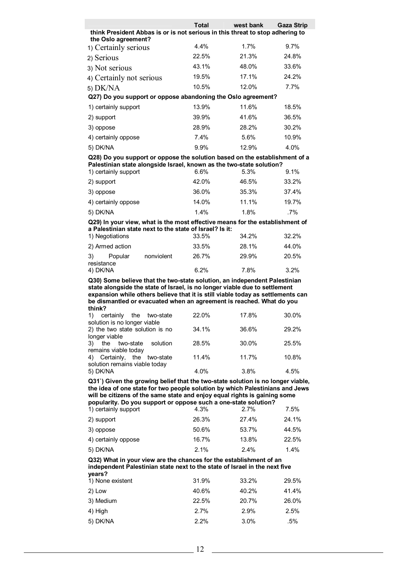|                                                                                                                                                                 | Total | west bank | <b>Gaza Strip</b> |
|-----------------------------------------------------------------------------------------------------------------------------------------------------------------|-------|-----------|-------------------|
| think President Abbas is or is not serious in this threat to stop adhering to<br>the Oslo agreement?                                                            |       |           |                   |
| 1) Certainly serious                                                                                                                                            | 4.4%  | 1.7%      | $9.7\%$           |
| 2) Serious                                                                                                                                                      | 22.5% | 21.3%     | 24.8%             |
| 3) Not serious                                                                                                                                                  | 43.1% | 48.0%     | 33.6%             |
| 4) Certainly not serious                                                                                                                                        | 19.5% | 17.1%     | 24.2%             |
| 5) DK/NA                                                                                                                                                        | 10.5% | 12.0%     | 7.7%              |
| Q27) Do you support or oppose abandoning the Oslo agreement?                                                                                                    |       |           |                   |
| 1) certainly support                                                                                                                                            | 13.9% | 11.6%     | 18.5%             |
| 2) support                                                                                                                                                      | 39.9% | 41.6%     | 36.5%             |
| 3) oppose                                                                                                                                                       | 28.9% | 28.2%     | 30.2%             |
| 4) certainly oppose                                                                                                                                             | 7.4%  | 5.6%      | 10.9%             |
| 5) DK/NA                                                                                                                                                        | 9.9%  | 12.9%     | 4.0%              |
| Q28) Do you support or oppose the solution based on the establishment of a                                                                                      |       |           |                   |
| Palestinian state alongside Israel, known as the two-state solution?                                                                                            |       |           |                   |
| 1) certainly support                                                                                                                                            | 6.6%  | 5.3%      | 9.1%              |
| 2) support                                                                                                                                                      | 42.0% | 46.5%     | 33.2%             |
| 3) oppose                                                                                                                                                       | 36.0% | 35.3%     | 37.4%             |
| 4) certainly oppose                                                                                                                                             | 14.0% | 11.1%     | 19.7%             |
| 5) DK/NA                                                                                                                                                        | 1.4%  | 1.8%      | $.7\%$            |
| Q29) In your view, what is the most effective means for the establishment of                                                                                    |       |           |                   |
| a Palestinian state next to the state of Israel? Is it:<br>1) Negotiations                                                                                      | 33.5% | 34.2%     | 32.2%             |
| 2) Armed action                                                                                                                                                 | 33.5% | 28.1%     | 44.0%             |
| 3)<br>Popular<br>nonviolent                                                                                                                                     | 26.7% | 29.9%     | 20.5%             |
| resistance                                                                                                                                                      |       |           |                   |
| 4) DK/NA                                                                                                                                                        | 6.2%  | 7.8%      | 3.2%              |
| Q30) Some believe that the two-state solution, an independent Palestinian<br>state alongside the state of Israel, is no longer viable due to settlement         |       |           |                   |
| expansion while others believe that it is still viable today as settlements can                                                                                 |       |           |                   |
| be dismantled or evacuated when an agreement is reached. What do you<br>think?                                                                                  |       |           |                   |
| 1)<br>certainly<br>the<br>two-state<br>solution is no longer viable                                                                                             | 22.0% | 17.8%     | 30.0%             |
| 2) the two state solution is no<br>longer viable                                                                                                                | 34.1% | 36.6%     | 29.2%             |
| 3)<br>the<br>two-state<br>solution<br>remains viable today                                                                                                      | 28.5% | 30.0%     | 25.5%             |
| Certainly, the<br>4)<br>two-state<br>solution remains viable today                                                                                              | 11.4% | 11.7%     | 10.8%             |
| 5) DK/NA                                                                                                                                                        | 4.0%  | 3.8%      | 4.5%              |
| Q31`) Given the growing belief that the two-state solution is no longer viable,<br>the idea of one state for two people solution by which Palestinians and Jews |       |           |                   |

**the idea of one state for two people solution by which Palestinians and Jews will be citizens of the same state and enjoy equal rights is gaining some popularity. Do you support or oppose such a one-state solution?** 

| 1) certainly support | 4.3%  | 2.7%  | 7.5%  |
|----------------------|-------|-------|-------|
| 2) support           | 26.3% | 27.4% | 24.1% |
| 3) oppose            | 50.6% | 53.7% | 44.5% |
| 4) certainly oppose  | 16.7% | 13.8% | 22.5% |
| 5) DK/NA             | 2.1%  | 2.4%  | 1.4%  |

### **Q32) What in your view are the chances for the establishment of an independent Palestinian state next to the state of Israel in the next five years?**

| 1) None existent | 31.9% | 33.2% | 29.5% |
|------------------|-------|-------|-------|
| 2) Low           | 40.6% | 40.2% | 41.4% |
| 3) Medium        | 22.5% | 20.7% | 26.0% |
| 4) High          | 2.7%  | 2.9%  | 2.5%  |
| 5) DK/NA         | 2.2%  | 3.0%  | .5%   |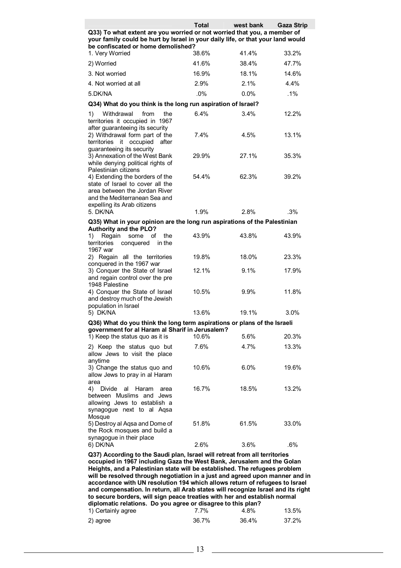|                                                                                                                                                                                                                                                                                                                    | <b>Total</b> | west bank | <b>Gaza Strip</b> |  |
|--------------------------------------------------------------------------------------------------------------------------------------------------------------------------------------------------------------------------------------------------------------------------------------------------------------------|--------------|-----------|-------------------|--|
| Q33) To what extent are you worried or not worried that you, a member of<br>your family could be hurt by Israel in your daily life, or that your land would<br>be confiscated or home demolished?                                                                                                                  |              |           |                   |  |
| 1. Very Worried                                                                                                                                                                                                                                                                                                    | 38.6%        | 41.4%     | 33.2%             |  |
| 2) Worried                                                                                                                                                                                                                                                                                                         | 41.6%        | 38.4%     | 47.7%             |  |
| 3. Not worried                                                                                                                                                                                                                                                                                                     | 16.9%        | 18.1%     | 14.6%             |  |
| 4. Not worried at all                                                                                                                                                                                                                                                                                              | 2.9%         | 2.1%      | 4.4%              |  |
| 5.DK/NA                                                                                                                                                                                                                                                                                                            | $.0\%$       | 0.0%      | $.1\%$            |  |
| Q34) What do you think is the long run aspiration of Israel?                                                                                                                                                                                                                                                       |              |           |                   |  |
| 1)<br>Withdrawal<br>from<br>the<br>territories it occupied in 1967                                                                                                                                                                                                                                                 | 6.4%         | 3.4%      | 12.2%             |  |
| after guaranteeing its security<br>2) Withdrawal form part of the<br>territories it occupied<br>after                                                                                                                                                                                                              | 7.4%         | 4.5%      | 13.1%             |  |
| guaranteeing its security<br>3) Annexation of the West Bank<br>while denying political rights of<br>Palestinian citizens                                                                                                                                                                                           | 29.9%        | 27.1%     | 35.3%             |  |
| 4) Extending the borders of the<br>state of Israel to cover all the<br>area between the Jordan River<br>and the Mediterranean Sea and                                                                                                                                                                              | 54.4%        | 62.3%     | 39.2%             |  |
| expelling its Arab citizens<br>5. DK/NA                                                                                                                                                                                                                                                                            | 1.9%         | 2.8%      | .3%               |  |
| Q35) What in your opinion are the long run aspirations of the Palestinian                                                                                                                                                                                                                                          |              |           |                   |  |
| <b>Authority and the PLO?</b><br>Regain<br>1)<br>some<br>οf<br>the<br>territories<br>in the<br>conquered<br>1967 war                                                                                                                                                                                               | 43.9%        | 43.8%     | 43.9%             |  |
| 2) Regain all the territories<br>conquered in the 1967 war                                                                                                                                                                                                                                                         | 19.8%        | 18.0%     | 23.3%             |  |
| 3) Conquer the State of Israel<br>and regain control over the pre<br>1948 Palestine                                                                                                                                                                                                                                | 12.1%        | 9.1%      | 17.9%             |  |
| 4) Conquer the State of Israel<br>and destroy much of the Jewish<br>population in Israel                                                                                                                                                                                                                           | 10.5%        | 9.9%      | 11.8%             |  |
| 5) DK/NA                                                                                                                                                                                                                                                                                                           | 13.6%        | 19.1%     | 3.0%              |  |
| Q36) What do you think the long term aspirations or plans of the Israeli<br>government for al Haram al Sharif in Jerusalem?                                                                                                                                                                                        |              |           |                   |  |
| 1) Keep the status quo as it is                                                                                                                                                                                                                                                                                    | 10.6%        | 5.6%      | 20.3%             |  |
| 2) Keep the status quo but<br>allow Jews to visit the place<br>anytime                                                                                                                                                                                                                                             | 7.6%         | 4.7%      | 13.3%             |  |
| 3) Change the status quo and<br>allow Jews to pray in al Haram<br>area                                                                                                                                                                                                                                             | 10.6%        | 6.0%      | 19.6%             |  |
| 4) Divide al<br>Haram<br>area<br>between Muslims and Jews<br>allowing Jews to establish a<br>synagogue next to al Aqsa<br>Mosque                                                                                                                                                                                   | 16.7%        | 18.5%     | 13.2%             |  |
| 5) Destroy al Aqsa and Dome of<br>the Rock mosques and build a<br>synagogue in their place                                                                                                                                                                                                                         | 51.8%        | 61.5%     | 33.0%             |  |
| 6) DK/NA                                                                                                                                                                                                                                                                                                           | 2.6%         | 3.6%      | .6%               |  |
| Q37) According to the Saudi plan, Israel will retreat from all territories<br>occupied in 1967 including Gaza the West Bank, Jerusalem and the Golan<br>Heights, and a Palestinian state will be established. The refugees problem<br>will be resolved through negotiation in a just and agreed upon manner and in |              |           |                   |  |

**accordance with UN resolution 194 which allows return of refugees to Israel and compensation. In return, all Arab states will recognize Israel and its right to secure borders, will sign peace treaties with her and establish normal diplomatic relations. Do you agree or disagree to this plan?**  1) Certainly agree 7.7% 4.8% 13.5%

| ______   |       |       |       |
|----------|-------|-------|-------|
| 2) agree | 36.7% | 36.4% | 37.2% |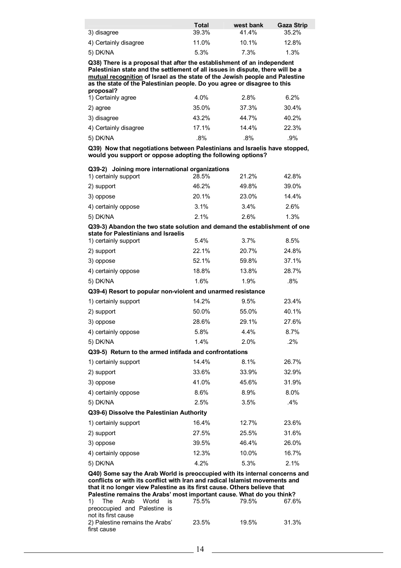|                       | Total | west bank | <b>Gaza Strip</b> |
|-----------------------|-------|-----------|-------------------|
| 3) disagree           | 39.3% | 41.4%     | 35.2%             |
| 4) Certainly disagree | 11.0% | 10.1%     | 12.8%             |
| 5) DK/NA              | 5.3%  | 7.3%      | 1.3%              |

**Q38) There is a proposal that after the establishment of an independent Palestinian state and the settlement of all issues in dispute, there will be a mutual recognition of Israel as the state of the Jewish people and Palestine as the state of the Palestinian people. Do you agree or disagree to this proposal?** 

| 1) Certainly agree    | 4.0%  | 2.8%  | 6.2%  |  |
|-----------------------|-------|-------|-------|--|
| 2) agree              | 35.0% | 37.3% | 30.4% |  |
| 3) disagree           | 43.2% | 44.7% | 40.2% |  |
| 4) Certainly disagree | 17.1% | 14.4% | 22.3% |  |
| 5) DK/NA              | .8%   | .8%   | .9%   |  |

**Q39) Now that negotiations between Palestinians and Israelis have stopped, would you support or oppose adopting the following options?** 

| Q39-2) Joining more international organizations<br>1) certainly support                                                                                                                                                                                                                                                                                                       | 28.5% | 21.2% | 42.8% |
|-------------------------------------------------------------------------------------------------------------------------------------------------------------------------------------------------------------------------------------------------------------------------------------------------------------------------------------------------------------------------------|-------|-------|-------|
| 2) support                                                                                                                                                                                                                                                                                                                                                                    | 46.2% | 49.8% | 39.0% |
| 3) oppose                                                                                                                                                                                                                                                                                                                                                                     | 20.1% | 23.0% | 14.4% |
|                                                                                                                                                                                                                                                                                                                                                                               | 3.1%  | 3.4%  | 2.6%  |
| 4) certainly oppose                                                                                                                                                                                                                                                                                                                                                           | 2.1%  | 2.6%  |       |
| 5) DK/NA                                                                                                                                                                                                                                                                                                                                                                      |       |       | 1.3%  |
| Q39-3) Abandon the two state solution and demand the establishment of one<br>state for Palestinians and Israelis                                                                                                                                                                                                                                                              |       |       |       |
| 1) certainly support                                                                                                                                                                                                                                                                                                                                                          | 5.4%  | 3.7%  | 8.5%  |
| 2) support                                                                                                                                                                                                                                                                                                                                                                    | 22.1% | 20.7% | 24.8% |
| 3) oppose                                                                                                                                                                                                                                                                                                                                                                     | 52.1% | 59.8% | 37.1% |
| 4) certainly oppose                                                                                                                                                                                                                                                                                                                                                           | 18.8% | 13.8% | 28.7% |
| 5) DK/NA                                                                                                                                                                                                                                                                                                                                                                      | 1.6%  | 1.9%  | .8%   |
| Q39-4) Resort to popular non-violent and unarmed resistance                                                                                                                                                                                                                                                                                                                   |       |       |       |
| 1) certainly support                                                                                                                                                                                                                                                                                                                                                          | 14.2% | 9.5%  | 23.4% |
| 2) support                                                                                                                                                                                                                                                                                                                                                                    | 50.0% | 55.0% | 40.1% |
| 3) oppose                                                                                                                                                                                                                                                                                                                                                                     | 28.6% | 29.1% | 27.6% |
| 4) certainly oppose                                                                                                                                                                                                                                                                                                                                                           | 5.8%  | 4.4%  | 8.7%  |
| 5) DK/NA                                                                                                                                                                                                                                                                                                                                                                      | 1.4%  | 2.0%  | .2%   |
| Q39-5) Return to the armed intifada and confrontations                                                                                                                                                                                                                                                                                                                        |       |       |       |
| 1) certainly support                                                                                                                                                                                                                                                                                                                                                          | 14.4% | 8.1%  | 26.7% |
| 2) support                                                                                                                                                                                                                                                                                                                                                                    | 33.6% | 33.9% | 32.9% |
| 3) oppose                                                                                                                                                                                                                                                                                                                                                                     | 41.0% | 45.6% | 31.9% |
| 4) certainly oppose                                                                                                                                                                                                                                                                                                                                                           | 8.6%  | 8.9%  | 8.0%  |
| 5) DK/NA                                                                                                                                                                                                                                                                                                                                                                      | 2.5%  | 3.5%  | .4%   |
| Q39-6) Dissolve the Palestinian Authority                                                                                                                                                                                                                                                                                                                                     |       |       |       |
| 1) certainly support                                                                                                                                                                                                                                                                                                                                                          | 16.4% | 12.7% | 23.6% |
| 2) support                                                                                                                                                                                                                                                                                                                                                                    | 27.5% | 25.5% | 31.6% |
| 3) oppose                                                                                                                                                                                                                                                                                                                                                                     | 39.5% | 46.4% | 26.0% |
| 4) certainly oppose                                                                                                                                                                                                                                                                                                                                                           | 12.3% | 10.0% | 16.7% |
| 5) DK/NA                                                                                                                                                                                                                                                                                                                                                                      | 4.2%  | 5.3%  | 2.1%  |
| Q40) Some say the Arab World is preoccupied with its internal concerns and<br>conflicts or with its conflict with Iran and radical Islamist movements and<br>that it no longer view Palestine as its first cause. Others believe that<br>Palestine remains the Arabs' most important cause. What do you think?<br>1)<br>The<br>Arab<br>World<br>75.5%<br>79.5%<br>67.6%<br>is |       |       |       |
| preoccupied and Palestine is                                                                                                                                                                                                                                                                                                                                                  |       |       |       |

| not its first cause             |       |       |       |
|---------------------------------|-------|-------|-------|
| 2) Palestine remains the Arabs' | 23.5% | 19.5% | 31.3% |
| first cause                     |       |       |       |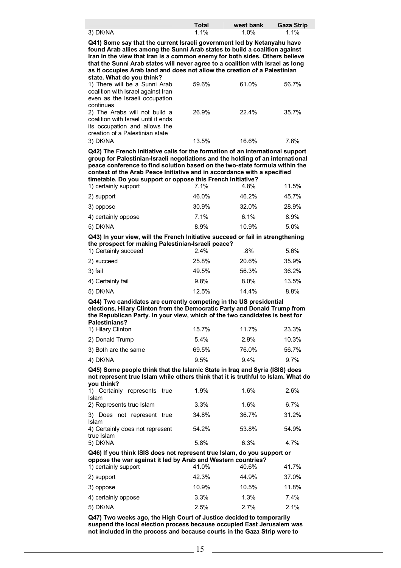|          | <b>Total</b> | west bank | Gaza Strip |
|----------|--------------|-----------|------------|
| 3) DK/NA | 1.1%         | 1.0%      | 1.1%       |

**Q41) Some say that the current Israeli government led by Netanyahu have found Arab allies among the Sunni Arab states to build a coalition against Iran in the view that Iran is a common enemy for both sides. Others believe that the Sunni Arab states will never agree to a coalition with Israel as long as it occupies Arab land and does not allow the creation of a Palestinian state. What do you think?** 

| 1) There will be a Sunni Arab<br>coalition with Israel against Iran<br>even as the Israeli occupation<br>continues                       | 59.6% | 61.0% | 56.7% |
|------------------------------------------------------------------------------------------------------------------------------------------|-------|-------|-------|
| 2) The Arabs will not build a<br>coalition with Israel until it ends<br>its occupation and allows the<br>creation of a Palestinian state | 26.9% | 22.4% | 35.7% |
| 3) DK/NA                                                                                                                                 | 13.5% | 16.6% | 7.6%  |

**Q42) The French Initiative calls for the formation of an international support group for Palestinian-Israeli negotiations and the holding of an international peace conference to find solution based on the two-state formula within the context of the Arab Peace Initiative and in accordance with a specified timetable. Do you support or oppose this French Initiative?** 

| 1) certainly support<br>2) support<br>3) oppose<br>4) certainly oppose<br>5) DK/NA | 7.1%  | 4.8%                   | 11.5%                  |  |
|------------------------------------------------------------------------------------|-------|------------------------|------------------------|--|
|                                                                                    | 46.0% | 46.2%<br>32.0%<br>6.1% | 45.7%<br>28.9%<br>8.9% |  |
|                                                                                    | 30.9% |                        |                        |  |
|                                                                                    | 7.1%  |                        |                        |  |
|                                                                                    | 8.9%  | 10.9%                  | 5.0%                   |  |

**Q43) In your view, will the French Initiative succeed or fail in strengthening the prospect for making Palestinian-Israeli peace?** 

| 1) Certainly succeed | 2.4%  | .8%   | 5.6%  |
|----------------------|-------|-------|-------|
| 2) succeed           | 25.8% | 20.6% | 35.9% |
| 3) fail              | 49.5% | 56.3% | 36.2% |
| 4) Certainly fail    | 9.8%  | 8.0%  | 13.5% |
| 5) DK/NA             | 12.5% | 14.4% | 8.8%  |

**Q44) Two candidates are currently competing in the US presidential elections, Hilary Clinton from the Democratic Party and Donald Trump from the Republican Party. In your view, which of the two candidates is best for Palestinians?** 

| 1) Hilary Clinton    | 15.7%   | 11.7%   | 23.3%   |
|----------------------|---------|---------|---------|
| 2) Donald Trump      | $5.4\%$ | 2.9%    | 10.3%   |
| 3) Both are the same | 69.5%   | 76.0%   | 56.7%   |
| 4) DK/NA             | 9.5%    | $9.4\%$ | $9.7\%$ |

**Q45) Some people think that the Islamic State in Iraq and Syria (ISIS) does not represent true Islam while others think that it is truthful to Islam. What do you think?** 

| Q46) If you think ISIS does not represent true Islam, do you support or |       |       |       |  |
|-------------------------------------------------------------------------|-------|-------|-------|--|
| true Islam<br>5) DK/NA                                                  | 5.8%  | 6.3%  | 4.7%  |  |
| Islam<br>4) Certainly does not represent                                | 54.2% | 53.8% | 54.9% |  |
| 3) Does not represent true                                              | 34.8% | 36.7% | 31.2% |  |
| Islam<br>2) Represents true Islam                                       | 3.3%  | 1.6%  | 6.7%  |  |
| 1) Certainly represents true                                            | 1.9%  | 1.6%  | 2.6%  |  |

# **oppose the war against it led by Arab and Western countries?**

| 1) certainly support | 41.0% | 40.6% | 41.7% |
|----------------------|-------|-------|-------|
| 2) support           | 42.3% | 44.9% | 37.0% |
| 3) oppose            | 10.9% | 10.5% | 11.8% |
| 4) certainly oppose  | 3.3%  | 1.3%  | 7.4%  |
| 5) DK/NA             | 2.5%  | 2.7%  | 2.1%  |

**Q47) Two weeks ago, the High Court of Justice decided to temporarily suspend the local election process because occupied East Jerusalem was not included in the process and because courts in the Gaza Strip were to**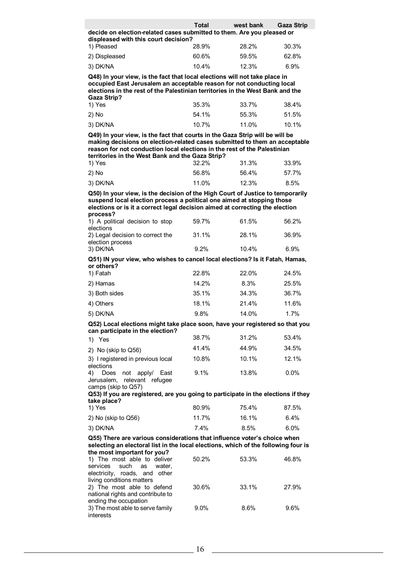|                                                                        | <b>Total</b> | west bank | <b>Gaza Strip</b> |
|------------------------------------------------------------------------|--------------|-----------|-------------------|
| decide on election-related cases submitted to them. Are you pleased or |              |           |                   |
| displeased with this court decision?                                   |              |           |                   |

| 1) Pleased    | 28.9% | 28.2% | 30.3%   |
|---------------|-------|-------|---------|
| 2) Displeased | 60.6% | 59.5% | 62.8%   |
| 3) DK/NA      | 10.4% | 12.3% | $6.9\%$ |

**Q48) In your view, is the fact that local elections will not take place in occupied East Jerusalem an acceptable reason for not conducting local elections in the rest of the Palestinian territories in the West Bank and the Gaza Strip?** 

| 1) Yes   | 35.3% | 33.7% | 38.4% |
|----------|-------|-------|-------|
| 2) No    | 54.1% | 55.3% | 51.5% |
| 3) DK/NA | 10.7% | 11.0% | 10.1% |

**Q49) In your view, is the fact that courts in the Gaza Strip will be will be making decisions on election-related cases submitted to them an acceptable reason for not conduction local elections in the rest of the Palestinian territories in the West Bank and the Gaza Strip?** 

| 1) Yes   | 32.2% | 31.3% | 33.9% |
|----------|-------|-------|-------|
| $2)$ No  | 56.8% | 56.4% | 57.7% |
| 3) DK/NA | 11.0% | 12.3% | 8.5%  |

**Q50) In your view, is the decision of the High Court of Justice to temporarily suspend local election process a political one aimed at stopping those elections or is it a correct legal decision aimed at correcting the election process?** 

| 1) A political decision to stop<br>elections                                               | 59.7% | 61.5% | 56.2% |
|--------------------------------------------------------------------------------------------|-------|-------|-------|
| 2) Legal decision to correct the<br>election process                                       | 31.1% | 28.1% | 36.9% |
| 3) DK/NA                                                                                   | 9.2%  | 10.4% | 6.9%  |
| Q51) IN your view, who wishes to cancel local elections? Is it Fatah, Hamas,<br>or others? |       |       |       |
| 1) Fatah                                                                                   | 22.8% | 22.0% | 24.5% |
| 2) Hamas                                                                                   | 14.2% | 8.3%  | 25.5% |
| 3) Both sides                                                                              | 35.1% | 34.3% | 36.7% |
| 4) Others                                                                                  | 18.1% | 21.4% | 11.6% |
| 5) DK/NA                                                                                   | 9.8%  | 14.0% | 1.7%  |

#### **Q52) Local elections might take place soon, have your registered so that you can participate in the election?**

| 1) Yes                                                    | 38.7% | 31.2% | 53.4%   |
|-----------------------------------------------------------|-------|-------|---------|
| 2) No (skip to Q56)                                       | 41.4% | 44.9% | 34.5%   |
| 3) I registered in previous local                         | 10.8% | 10.1% | 12.1%   |
| elections                                                 |       |       |         |
| 4) Does not apply/<br>East<br>Jerusalem, relevant refugee | 9.1%  | 13.8% | $0.0\%$ |
| camps (skip to Q57)                                       |       |       |         |

## **Q53) If you are registered, are you going to participate in the elections if they take place?**

| 1) Yes              | 80.9% | 75.4% | 87.5%   |
|---------------------|-------|-------|---------|
| 2) No (skip to Q56) | 11.7% | 16.1% | 6.4%    |
| 3) DK/NA            | 7.4%  | 8.5%  | $6.0\%$ |

### **Q55) There are various considerations that influence voter's choice when selecting an electoral list in the local elections, which of the following four is the most important for you?**

| $\frac{1}{2}$                     |         |       |       |
|-----------------------------------|---------|-------|-------|
| 1) The most able to deliver       | 50.2%   | 53.3% | 46.8% |
| services such as water,           |         |       |       |
| electricity, roads, and other     |         |       |       |
| living conditions matters         |         |       |       |
| 2) The most able to defend        | 30.6%   | 33.1% | 27.9% |
| national rights and contribute to |         |       |       |
| ending the occupation             |         |       |       |
| 3) The most able to serve family  | $9.0\%$ | 8.6%  | 9.6%  |
| interests                         |         |       |       |
|                                   |         |       |       |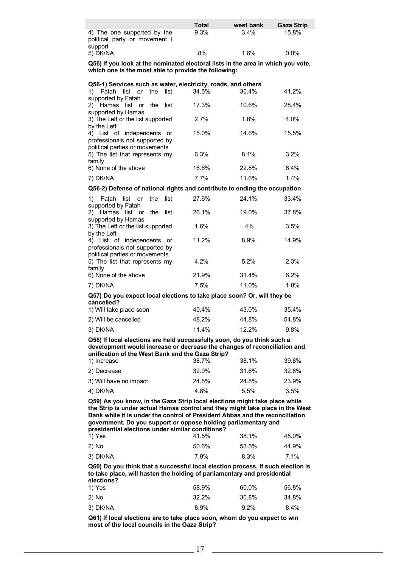|                                                              | Total | west bank | Gaza Strip |
|--------------------------------------------------------------|-------|-----------|------------|
| 4) The one supported by the<br>political party or movement I | 9.3%  | 3.4%      | 15.8%      |
| support                                                      |       |           |            |
| 5) DK/NA                                                     | .8%   | 1.6%      | $0.0\%$    |

**Q56) If you look at the nominated electoral lists in the area in which you vote, which one is the most able to provide the following:** 

| Q56-1) Services such as water, electricity, roads, and others |       |       |       |
|---------------------------------------------------------------|-------|-------|-------|
| Fatah list or the list<br>1)                                  | 34.5% | 30.4% | 41.2% |
| supported by Fatah                                            |       |       |       |
| 2) Hamas list or the list                                     | 17.3% | 10.6% | 28.4% |
| supported by Hamas                                            |       |       |       |
| 3) The Left or the list supported                             | 2.7%  | 1.8%  | 4.0%  |
| by the Left                                                   |       |       |       |
| 4) List of independents or                                    | 15.0% | 14.6% | 15.5% |
| professionals not supported by                                |       |       |       |
| political parties or movements                                |       |       |       |
| 5) The list that represents my                                | 6.3%  | 8.1%  | 3.2%  |
| family                                                        |       |       |       |
| 6) None of the above                                          | 16.6% | 22.8% | 6.4%  |
| 7) DK/NA                                                      | 7.7%  | 11.6% | 1.4%  |
|                                                               |       |       |       |

### **Q56-1) Services such as water, electricity, roads, and others**

**Q56-2) Defense of national rights and contribute to ending the occupation**

| Fatah list or the<br>list<br>1)<br>supported by Fatah                                          | 27.6% | 24.1%  | 33.4% |
|------------------------------------------------------------------------------------------------|-------|--------|-------|
| 2) Hamas list or the<br>list<br>supported by Hamas                                             | 26.1% | 19.0%  | 37.8% |
| 3) The Left or the list supported<br>by the Left                                               | 1.6%  | $.4\%$ | 3.5%  |
| 4) List of independents or<br>professionals not supported by<br>political parties or movements | 11.2% | 8.9%   | 14.9% |
| 5) The list that represents my<br>family                                                       | 4.2%  | 5.2%   | 2.3%  |
| 6) None of the above                                                                           | 21.9% | 31.4%  | 6.2%  |
| 7) DK/NA                                                                                       | 7.5%  | 11.0%  | 1.8%  |

### **Q57) Do you expect local elections to take place soon? Or, will they be cancelled?**

| 1) Will take place soon | 40.4% | 43.0% | 35.4%   |
|-------------------------|-------|-------|---------|
| 2) Will be cancelled    | 48.2% | 44.8% | 54.8%   |
| 3) DK/NA                | 11.4% | 12.2% | $9.8\%$ |

**Q58) If local elections are held successfully soon, do you think such a development would increase or decrease the changes of reconciliation and unification of the West Bank and the Gaza Strip?** 

| 1) Increase            | 38.7% | 38.1% | 39.8% |
|------------------------|-------|-------|-------|
| 2) Decrease            | 32.0% | 31.6% | 32.8% |
| 3) Will have no impact | 24.5% | 24.8% | 23.9% |
| 4) DK/NA               | 4.8%  | 5.5%  | 3.5%  |

**Q59) As you know, in the Gaza Strip local elections might take place while the Strip is under actual Hamas control and they might take place in the West Bank while it is under the control of President Abbas and the reconciliation government. Do you support or oppose holding parliamentary and presidential elections under similar conditions?** 

| 1) Yes   | 41.5% | 38.1% | 48.0% |
|----------|-------|-------|-------|
| 2) No    | 50.6% | 53.5% | 44.9% |
| 3) DK/NA | 7.9%  | 8.3%  | 7.1%  |

**Q60) Do you think that a successful local election process, if such election is to take place, will hasten the holding of parliamentary and presidential elections?** 

| 1) Yes   | 58.9% | 60.0%   | 56.8% |
|----------|-------|---------|-------|
| 2) No    | 32.2% | 30.8%   | 34.8% |
| 3) DK/NA | 8.9%  | $9.2\%$ | 8.4%  |

**Q61) If local elections are to take place soon, whom do you expect to win most of the local councils in the Gaza Strip?**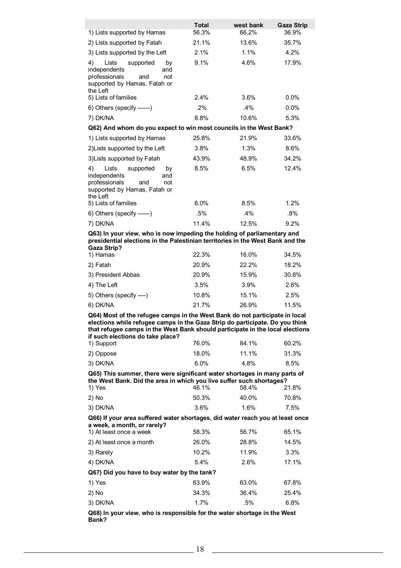| 1) Lists supported by Hamas                                                                                                                                                                                                                                                      | <b>Total</b><br>56.3% | west bank<br>66.2% | Gaza Strip<br>36.9% |  |
|----------------------------------------------------------------------------------------------------------------------------------------------------------------------------------------------------------------------------------------------------------------------------------|-----------------------|--------------------|---------------------|--|
| 2) Lists supported by Fatah                                                                                                                                                                                                                                                      | 21.1%                 | 13.6%              | 35.7%               |  |
| 3) Lists supported by the Left                                                                                                                                                                                                                                                   | 2.1%                  | 1.1%               | 4.2%                |  |
| 4)<br>Lists<br>supported<br>by                                                                                                                                                                                                                                                   | 9.1%                  | 4.6%               | 17.9%               |  |
| independents<br>and<br>professionals<br>and<br>not<br>supported by Hamas, Fatah or<br>the Left<br>5) Lists of families                                                                                                                                                           | 2.4%                  | 3.6%               | 0.0%                |  |
|                                                                                                                                                                                                                                                                                  |                       | .4%                |                     |  |
| 6) Others (specify ------)                                                                                                                                                                                                                                                       | .2%                   |                    | 0.0%                |  |
| 7) DK/NA                                                                                                                                                                                                                                                                         | 8.8%                  | 10.6%              | 5.3%                |  |
| Q62) And whom do you expect to win most councils in the West Bank?                                                                                                                                                                                                               |                       |                    |                     |  |
| 1) Lists supported by Hamas                                                                                                                                                                                                                                                      | 25.8%                 | 21.9%              | 33.6%               |  |
| 2) Lists supported by the Left                                                                                                                                                                                                                                                   | 3.8%                  | 1.3%               | 8.6%                |  |
| 3) Lists supported by Fatah                                                                                                                                                                                                                                                      | 43.9%                 | 48.9%              | 34.2%               |  |
| 4)<br>Lists<br>supported<br>by<br>independents<br>and<br>professionals<br>and<br>not<br>supported by Hamas, Fatah or<br>the Left<br>5) Lists of families                                                                                                                         | 8.5%                  | 6.5%               | 12.4%<br>1.2%       |  |
|                                                                                                                                                                                                                                                                                  | 6.0%                  | 8.5%               |                     |  |
| 6) Others (specify ------)                                                                                                                                                                                                                                                       | .5%                   | $.4\%$             | $.8\%$              |  |
| 7) DK/NA                                                                                                                                                                                                                                                                         | 11.4%                 | 12.5%              | 9.2%                |  |
| Q63) In your view, who is now impeding the holding of parliamentary and<br>presidential elections in the Palestinian territories in the West Bank and the<br><b>Gaza Strip?</b>                                                                                                  |                       |                    |                     |  |
| 1) Hamas                                                                                                                                                                                                                                                                         | 22.3%                 | 16.0%              | 34.5%               |  |
| 2) Fatah                                                                                                                                                                                                                                                                         | 20.9%                 | 22.2%              | 18.2%               |  |
| 3) President Abbas                                                                                                                                                                                                                                                               | 20.9%                 | 15.9%              | 30.8%               |  |
| 4) The Left                                                                                                                                                                                                                                                                      | 3.5%                  | 3.9%               | 2.6%                |  |
| 5) Others (specify ----)                                                                                                                                                                                                                                                         | 10.8%                 | 15.1%              | 2.5%                |  |
| 6) DK/NA                                                                                                                                                                                                                                                                         | 21.7%                 | 26.9%              | 11.5%               |  |
| Q64) Most of the refugee camps in the West Bank do not participate in local<br>elections while refugee camps in the Gaza Strip do participate. Do you think<br>that refugee camps in the West Bank should participate in the local elections<br>if such elections do take place? |                       |                    |                     |  |
| 1) Support                                                                                                                                                                                                                                                                       | 76.0%                 | 84.1%              | 60.2%               |  |
| 2) Oppose                                                                                                                                                                                                                                                                        | 18.0%                 | 11.1%              | 31.3%               |  |
| 3) DK/NA                                                                                                                                                                                                                                                                         | 6.0%                  | 4.8%               | $8.5\%$             |  |
| Q65) This summer, there were significant water shortages in many parts of<br>the West Bank. Did the area in which you live suffer such shortages?                                                                                                                                |                       |                    |                     |  |
| 1) Yes                                                                                                                                                                                                                                                                           | 46.1%                 | 58.4%              | 21.8%               |  |
| 2) No                                                                                                                                                                                                                                                                            | 50.3%                 | 40.0%              | 70.8%               |  |
| 3) DK/NA                                                                                                                                                                                                                                                                         | 3.6%                  | 1.6%               | 7.5%                |  |
| Q66) If your area suffered water shortages, did water reach you at least once<br>a week, a month, or rarely?                                                                                                                                                                     |                       |                    |                     |  |
| 1) At least once a week                                                                                                                                                                                                                                                          | 58.3%                 | 56.7%              | 65.1%               |  |
| 2) At least once a month                                                                                                                                                                                                                                                         | 26.0%                 | 28.8%              | 14.5%               |  |
| 3) Rarely                                                                                                                                                                                                                                                                        | 10.2%                 | 11.9%              | 3.3%                |  |
| 4) DK/NA                                                                                                                                                                                                                                                                         | 5.4%                  | 2.6%               | 17.1%               |  |
| Q67) Did you have to buy water by the tank?                                                                                                                                                                                                                                      |                       |                    |                     |  |
| 1) Yes                                                                                                                                                                                                                                                                           | 63.9%                 | 63.0%              | 67.8%               |  |
| 2) No                                                                                                                                                                                                                                                                            | 34.3%                 | 36.4%              | 25.4%               |  |
| 3) DK/NA                                                                                                                                                                                                                                                                         | 1.7%                  | .5%                | 6.8%                |  |
| Q68) In your view, who is responsible for the water shortage in the West                                                                                                                                                                                                         |                       |                    |                     |  |

**Bank?**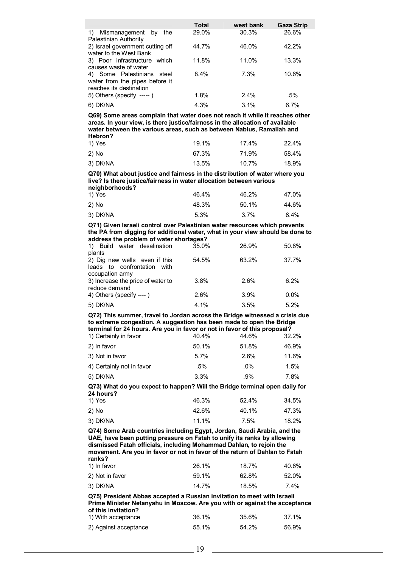|                                                                                         | <b>Total</b> | west bank | <b>Gaza Strip</b> |
|-----------------------------------------------------------------------------------------|--------------|-----------|-------------------|
| Mismanagement by<br>1)<br>the<br>Palestinian Authority                                  | 29.0%        | 30.3%     | 26.6%             |
| 2) Israel government cutting off<br>water to the West Bank                              | 44.7%        | 46.0%     | 42.2%             |
| 3) Poor infrastructure which<br>causes waste of water                                   | 11.8%        | 11.0%     | 13.3%             |
| 4) Some Palestinians steel<br>water from the pipes before it<br>reaches its destination | 8.4%         | 7.3%      | 10.6%             |
| 5) Others (specify -----)                                                               | 1.8%         | 2.4%      | .5%               |
| 6) DK/NA                                                                                | 4.3%         | 3.1%      | 6.7%              |

**Q69) Some areas complain that water does not reach it while it reaches other areas. In your view, is there justice/fairness in the allocation of available water between the various areas, such as between Nablus, Ramallah and Hebron?** 

| 1) Yes   | 19.1% | 17.4% | 22.4% |  |
|----------|-------|-------|-------|--|
| 2) No    | 67.3% | 71.9% | 58.4% |  |
| 3) DK/NA | 13.5% | 10.7% | 18.9% |  |

**Q70) What about justice and fairness in the distribution of water where you live? Is there justice/fairness in water allocation between various neighborhoods?** 

| .<br>1) Yes | 46.4% | 46.2%   | 47.0% |
|-------------|-------|---------|-------|
| 2) No       | 48.3% | 50.1%   | 44.6% |
| 3) DK/NA    | 5.3%  | $3.7\%$ | 8.4%  |

**Q71) Given Israeli control over Palestinian water resources which prevents the PA from digging for additional water, what in your view should be done to address the problem of water shortages?** 

| 35.0% | 26.9% | 50.8% |
|-------|-------|-------|
|       |       |       |
| 54.5% | 63.2% | 37.7% |
|       |       |       |
|       |       |       |
| 3.8%  | 2.6%  | 6.2%  |
|       |       |       |
| 2.6%  | 3.9%  | 0.0%  |
| 4.1%  | 3.5%  | 5.2%  |
|       |       |       |

**Q72) This summer, travel to Jordan across the Bridge witnessed a crisis due to extreme congestion. A suggestion has been made to open the Bridge terminal for 24 hours. Are you in favor or not in favor of this proposal?** 

| 1) Certainly in favor     | 40.4% | 44.6%  | 32.2% |
|---------------------------|-------|--------|-------|
| 2) In favor               | 50.1% | 51.8%  | 46.9% |
| 3) Not in favor           | 5.7%  | 2.6%   | 11.6% |
| 4) Certainly not in favor | .5%   | $.0\%$ | 1.5%  |
| 5) DK/NA                  | 3.3%  | .9%    | 7.8%  |
|                           |       |        |       |

**Q73) What do you expect to happen? Will the Bridge terminal open daily for 24 hours?** 

| 1) Yes   | 46.3% | 52.4% | 34.5% |
|----------|-------|-------|-------|
| 2) No    | 42.6% | 40.1% | 47.3% |
| 3) DK/NA | 11.1% | 7.5%  | 18.2% |

**Q74) Some Arab countries including Egypt, Jordan, Saudi Arabia, and the UAE, have been putting pressure on Fatah to unify its ranks by allowing dismissed Fatah officials, including Mohammad Dahlan, to rejoin the movement. Are you in favor or not in favor of the return of Dahlan to Fatah ranks?** 

| 1) In favor     | 26.1% | 18.7% | 40.6% |
|-----------------|-------|-------|-------|
| 2) Not in favor | 59.1% | 62.8% | 52.0% |
| 3) DK/NA        | 14.7% | 18.5% | 7.4%  |

**Q75) President Abbas accepted a Russian invitation to meet with Israeli Prime Minister Netanyahu in Moscow. Are you with or against the acceptance of this invitation?**  1) With acceptance 36.1% 35.6% 37.1%

| 2) Against acceptance | 55.1% | 54.2% | 56.9% |
|-----------------------|-------|-------|-------|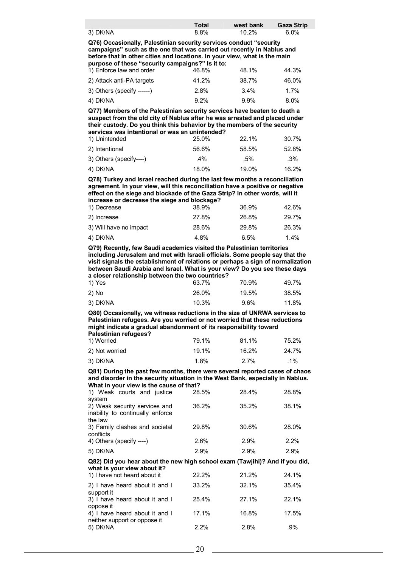|          | <b>Total</b> | west bank | <b>Gaza Strip</b> |
|----------|--------------|-----------|-------------------|
| 3) DK/NA | 8.8%         | 10.2%     | 6.0%              |

**Q76) Occasionally, Palestinian security services conduct "security campaigns" such as the one that was carried out recently in Nablus and before that in other cities and locations. In your view, what is the main purpose of these "security campaigns?" Is it to:** 

| 1) Enforce law and order     | 46.8%   | 48.1%   | 44.3%   |
|------------------------------|---------|---------|---------|
| 2) Attack anti-PA targets    | 41.2%   | 38.7%   | 46.0%   |
| $3)$ Others (specify ------) | 2.8%    | 3.4%    | 1.7%    |
| 4) DK/NA                     | $9.2\%$ | $9.9\%$ | $8.0\%$ |

**Q77) Members of the Palestinian security services have beaten to death a suspect from the old city of Nablus after he was arrested and placed under their custody. Do you think this behavior by the members of the security services was intentional or was an unintended?** 

| 1) Unintended           | 25.0% | 22.1% | 30.7%  |  |
|-------------------------|-------|-------|--------|--|
| 2) Intentional          | 56.6% | 58.5% | 52.8%  |  |
| 3) Others (specify----) | .4%   | .5%   | $.3\%$ |  |
| 4) DK/NA                | 18.0% | 19.0% | 16.2%  |  |

**Q78) Turkey and Israel reached during the last few months a reconciliation agreement. In your view, will this reconciliation have a positive or negative effect on the siege and blockade of the Gaza Strip? In other words, will it increase or decrease the siege and blockage?** 

| 1) Decrease            | 38.9% | 36.9% | 42.6% |
|------------------------|-------|-------|-------|
| 2) Increase            | 27.8% | 26.8% | 29.7% |
| 3) Will have no impact | 28.6% | 29.8% | 26.3% |
| 4) DK/NA               | 4.8%  | 6.5%  | 1.4%  |

**Q79) Recently, few Saudi academics visited the Palestinian territories including Jerusalem and met with Israeli officials. Some people say that the visit signals the establishment of relations or perhaps a sign of normalization between Saudi Arabia and Israel. What is your view? Do you see these days a closer relationship between the two countries?** 

| 1) Yes   | 63.7% | 70.9%   | 49.7% |
|----------|-------|---------|-------|
| 2) No    | 26.0% | 19.5%   | 38.5% |
| 3) DK/NA | 10.3% | $9.6\%$ | 11.8% |

**Q80) Occasionally, we witness reductions in the size of UNRWA services to Palestinian refugees. Are you worried or not worried that these reductions might indicate a gradual abandonment of its responsibility toward Palestinian refugees?** 

| 1) Worried     | 79.1% | 81.1% | 75.2%  |
|----------------|-------|-------|--------|
| 2) Not worried | 19.1% | 16.2% | 24.7%  |
| 3) DK/NA       | 1.8%  | 2.7%  | $.1\%$ |

**Q81) During the past few months, there were several reported cases of chaos and disorder in the security situation in the West Bank, especially in Nablus. What in your view is the cause of that?** 

| 1) Weak courts and justice       | 28.5% | 28.4% | 28.8% |
|----------------------------------|-------|-------|-------|
| system                           |       |       |       |
| 2) Weak security services and    | 36.2% | 35.2% | 38.1% |
| inability to continually enforce |       |       |       |
| the law                          |       |       |       |
| 3) Family clashes and societal   | 29.8% | 30.6% | 28.0% |
| conflicts                        |       |       |       |
| 4) Others (specify ----)         | 2.6%  | 2.9%  | 2.2%  |
|                                  |       |       |       |
| 5) DK/NA                         | 2.9%  | 2.9%  | 2.9%  |
|                                  |       |       |       |

### **Q82) Did you hear about the new high school exam (Tawjihi)? And if you did, what is your view about it?**

| 1) I have not heard about it                                   | 22.2% | 21.2% | 24.1% |
|----------------------------------------------------------------|-------|-------|-------|
| 2) I have heard about it and I<br>support it                   | 33.2% | 32.1% | 35.4% |
| 3) I have heard about it and I<br>oppose it                    | 25.4% | 27.1% | 22.1% |
| 4) I have heard about it and I<br>neither support or oppose it | 17.1% | 16.8% | 17.5% |
| 5) DK/NA                                                       | 2.2%  | 2.8%  | .9%   |